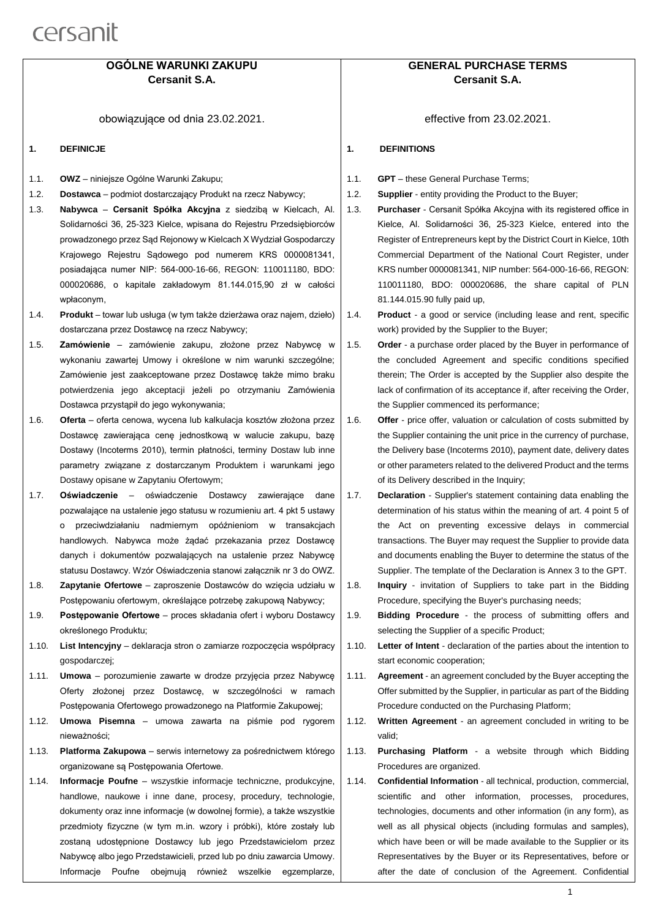### **OGÓLNE WARUNKI ZAKUPU Cersanit S.A.**

obowiązujące od dnia 23.02.2021.

- **1. DEFINICJE**
- 1.1. **OWZ** niniejsze Ogólne Warunki Zakupu;
- 1.2. **Dostawca** podmiot dostarczający Produkt na rzecz Nabywcy;
- 1.3. **Nabywca Cersanit Spółka Akcyjna** z siedzibą w Kielcach, Al. Solidarności 36, 25-323 Kielce, wpisana do Rejestru Przedsiębiorców prowadzonego przez Sąd Rejonowy w Kielcach X Wydział Gospodarczy Krajowego Rejestru Sądowego pod numerem KRS 0000081341, posiadająca numer NIP: 564-000-16-66, REGON: 110011180, BDO: 000020686, o kapitale zakładowym 81.144.015,90 zł w całości wpłaconym,
- 1.4. **Produkt** towar lub usługa (w tym także dzierżawa oraz najem, dzieło) dostarczana przez Dostawcę na rzecz Nabywcy;
- 1.5. **Zamówienie** zamówienie zakupu, złożone przez Nabywcę w wykonaniu zawartej Umowy i określone w nim warunki szczególne; Zamówienie jest zaakceptowane przez Dostawcę także mimo braku potwierdzenia jego akceptacji jeżeli po otrzymaniu Zamówienia Dostawca przystąpił do jego wykonywania;
- 1.6. **Oferta** oferta cenowa, wycena lub kalkulacja kosztów złożona przez Dostawcę zawierająca cenę jednostkową w walucie zakupu, bazę Dostawy (Incoterms 2010), termin płatności, terminy Dostaw lub inne parametry związane z dostarczanym Produktem i warunkami jego Dostawy opisane w Zapytaniu Ofertowym;
- 1.7. **Oświadczenie** oświadczenie Dostawcy zawierające dane pozwalające na ustalenie jego statusu w rozumieniu art. 4 pkt 5 ustawy o przeciwdziałaniu nadmiernym opóźnieniom w transakcjach handlowych. Nabywca może żądać przekazania przez Dostawcę danych i dokumentów pozwalających na ustalenie przez Nabywcę statusu Dostawcy. Wzór Oświadczenia stanowi załącznik nr 3 do OWZ.
- 1.8. **Zapytanie Ofertowe** zaproszenie Dostawców do wzięcia udziału w Postępowaniu ofertowym, określające potrzebę zakupową Nabywcy;
- 1.9. **Postępowanie Ofertowe** proces składania ofert i wyboru Dostawcy określonego Produktu;
- 1.10. **List Intencyjny** deklaracja stron o zamiarze rozpoczęcia współpracy gospodarczej;
- 1.11. **Umowa** porozumienie zawarte w drodze przyjęcia przez Nabywcę Oferty złożonej przez Dostawcę, w szczególności w ramach Postępowania Ofertowego prowadzonego na Platformie Zakupowej;
- 1.12. **Umowa Pisemna** umowa zawarta na piśmie pod rygorem nieważności;
- 1.13. **Platforma Zakupowa** serwis internetowy za pośrednictwem którego organizowane są Postępowania Ofertowe.
- 1.14. **Informacje Poufne**  wszystkie informacje techniczne, produkcyjne, handlowe, naukowe i inne dane, procesy, procedury, technologie, dokumenty oraz inne informacje (w dowolnej formie), a także wszystkie przedmioty fizyczne (w tym m.in. wzory i próbki), które zostały lub zostaną udostępnione Dostawcy lub jego Przedstawicielom przez Nabywcę albo jego Przedstawicieli, przed lub po dniu zawarcia Umowy. Informacje Poufne obejmują również wszelkie egzemplarze,

### **GENERAL PURCHASE TERMS Cersanit S.A.**

effective from 23.02.2021.

#### **1. DEFINITIONS**

- 1.1. **GPT** these General Purchase Terms;
- 1.2. **Supplier**  entity providing the Product to the Buyer;
- 1.3. **Purchaser**  Cersanit Spółka Akcyjna with its registered office in Kielce, Al. Solidarności 36, 25-323 Kielce, entered into the Register of Entrepreneurs kept by the District Court in Kielce, 10th Commercial Department of the National Court Register, under KRS number 0000081341, NIP number: 564-000-16-66, REGON: 110011180, BDO: 000020686, the share capital of PLN 81.144.015.90 fully paid up,

1.4. **Product** - a good or service (including lease and rent, specific work) provided by the Supplier to the Buyer;

1.5. **Order** - a purchase order placed by the Buyer in performance of the concluded Agreement and specific conditions specified therein; The Order is accepted by the Supplier also despite the lack of confirmation of its acceptance if, after receiving the Order, the Supplier commenced its performance;

- 1.6. **Offer**  price offer, valuation or calculation of costs submitted by the Supplier containing the unit price in the currency of purchase, the Delivery base (Incoterms 2010), payment date, delivery dates or other parameters related to the delivered Product and the terms of its Delivery described in the Inquiry;
- 1.7. **Declaration**  Supplier's statement containing data enabling the determination of his status within the meaning of art. 4 point 5 of the Act on preventing excessive delays in commercial transactions. The Buyer may request the Supplier to provide data and documents enabling the Buyer to determine the status of the Supplier. The template of the Declaration is Annex 3 to the GPT.
- 1.8. **Inquiry**  invitation of Suppliers to take part in the Bidding Procedure, specifying the Buyer's purchasing needs;
- 1.9. **Bidding Procedure**  the process of submitting offers and selecting the Supplier of a specific Product;
- 1.10. **Letter of Intent**  declaration of the parties about the intention to start economic cooperation;
- 1.11. **Agreement**  an agreement concluded by the Buyer accepting the Offer submitted by the Supplier, in particular as part of the Bidding Procedure conducted on the Purchasing Platform;
- 1.12. **Written Agreement**  an agreement concluded in writing to be valid;
- 1.13. **Purchasing Platform**  a website through which Bidding Procedures are organized.
- 1.14. **Confidential Information**  all technical, production, commercial, scientific and other information, processes, procedures, technologies, documents and other information (in any form), as well as all physical objects (including formulas and samples), which have been or will be made available to the Supplier or its Representatives by the Buyer or its Representatives, before or after the date of conclusion of the Agreement. Confidential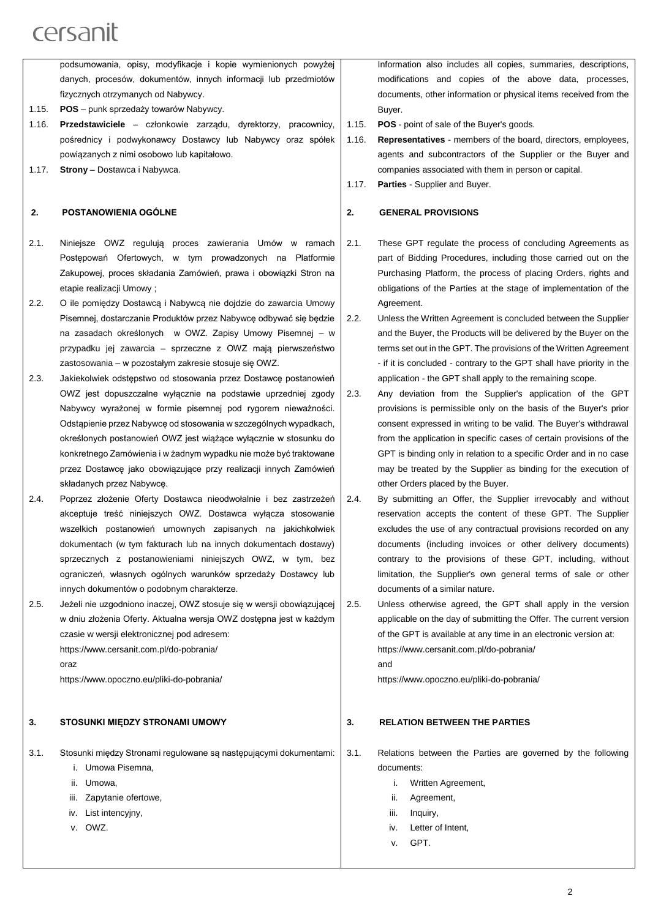podsumowania, opisy, modyfikacje i kopie wymienionych powyżej danych, procesów, dokumentów, innych informacji lub przedmiotów fizycznych otrzymanych od Nabywcy. 1.15. **POS** – punk sprzedaży towarów Nabywcy. 1.16. **Przedstawiciele** – członkowie zarządu, dyrektorzy, pracownicy, pośrednicy i podwykonawcy Dostawcy lub Nabywcy oraz spółek powiązanych z nimi osobowo lub kapitałowo.

1.17. **Strony** – Dostawca i Nabywca.

#### **2. POSTANOWIENIA OGÓLNE**

- 2.1. Niniejsze OWZ regulują proces zawierania Umów w ramach Postępowań Ofertowych, w tym prowadzonych na Platformie Zakupowej, proces składania Zamówień, prawa i obowiązki Stron na etapie realizacii Umowy :
- 2.2. O ile pomiędzy Dostawcą i Nabywcą nie dojdzie do zawarcia Umowy Pisemnej, dostarczanie Produktów przez Nabywcę odbywać się będzie na zasadach określonych w OWZ. Zapisy Umowy Pisemnej – w przypadku jej zawarcia – sprzeczne z OWZ mają pierwszeństwo zastosowania – w pozostałym zakresie stosuje się OWZ.
- 2.3. Jakiekolwiek odstępstwo od stosowania przez Dostawcę postanowień OWZ jest dopuszczalne wyłącznie na podstawie uprzedniej zgody Nabywcy wyrażonej w formie pisemnej pod rygorem nieważności. Odstąpienie przez Nabywcę od stosowania w szczególnych wypadkach, określonych postanowień OWZ jest wiążące wyłącznie w stosunku do konkretnego Zamówienia i w żadnym wypadku nie może być traktowane przez Dostawcę jako obowiązujące przy realizacji innych Zamówień składanych przez Nabywcę.
- 2.4. Poprzez złożenie Oferty Dostawca nieodwołalnie i bez zastrzeżeń akceptuje treść niniejszych OWZ. Dostawca wyłącza stosowanie wszelkich postanowień umownych zapisanych na jakichkolwiek dokumentach (w tym fakturach lub na innych dokumentach dostawy) sprzecznych z postanowieniami niniejszych OWZ, w tym, bez ograniczeń, własnych ogólnych warunków sprzedaży Dostawcy lub innych dokumentów o podobnym charakterze.
- 2.5. Jeżeli nie uzgodniono inaczej, OWZ stosuje się w wersji obowiązującej w dniu złożenia Oferty. Aktualna wersja OWZ dostępna jest w każdym czasie w wersji elektronicznej pod adresem: https://www.cersanit.com.pl/do-pobrania/ oraz

https://www.opoczno.eu/pliki-do-pobrania/

#### **3. STOSUNKI MIĘDZY STRONAMI UMOWY**

3.1. Stosunki między Stronami regulowane są następującymi dokumentami:

- i. Umowa Pisemna,
- ii. Umowa,
- iii. Zapytanie ofertowe,
- iv. List intencyjny,
- v. OWZ.

Information also includes all copies, summaries, descriptions, modifications and copies of the above data, processes, documents, other information or physical items received from the Buyer.

- 1.15. **POS**  point of sale of the Buyer's goods.
- 1.16. **Representatives**  members of the board, directors, employees, agents and subcontractors of the Supplier or the Buyer and companies associated with them in person or capital.
- 1.17. **Parties**  Supplier and Buyer.

#### **2. GENERAL PROVISIONS**

- 2.1. These GPT regulate the process of concluding Agreements as part of Bidding Procedures, including those carried out on the Purchasing Platform, the process of placing Orders, rights and obligations of the Parties at the stage of implementation of the Agreement.
- 2.2. Unless the Written Agreement is concluded between the Supplier and the Buyer, the Products will be delivered by the Buyer on the terms set out in the GPT. The provisions of the Written Agreement - if it is concluded - contrary to the GPT shall have priority in the application - the GPT shall apply to the remaining scope.
- 2.3. Any deviation from the Supplier's application of the GPT provisions is permissible only on the basis of the Buyer's prior consent expressed in writing to be valid. The Buyer's withdrawal from the application in specific cases of certain provisions of the GPT is binding only in relation to a specific Order and in no case may be treated by the Supplier as binding for the execution of other Orders placed by the Buyer.
- 2.4. By submitting an Offer, the Supplier irrevocably and without reservation accepts the content of these GPT. The Supplier excludes the use of any contractual provisions recorded on any documents (including invoices or other delivery documents) contrary to the provisions of these GPT, including, without limitation, the Supplier's own general terms of sale or other documents of a similar nature.
- 2.5. Unless otherwise agreed, the GPT shall apply in the version applicable on the day of submitting the Offer. The current version of the GPT is available at any time in an electronic version at: https://www.cersanit.com.pl/do-pobrania/ and

https://www.opoczno.eu/pliki-do-pobrania/

#### **3. RELATION BETWEEN THE PARTIES**

- 3.1. Relations between the Parties are governed by the following documents:
	- i. Written Agreement,
	- ii. Agreement,
	- iii. Inquiry,
	- iv. Letter of Intent,
	- v. GPT.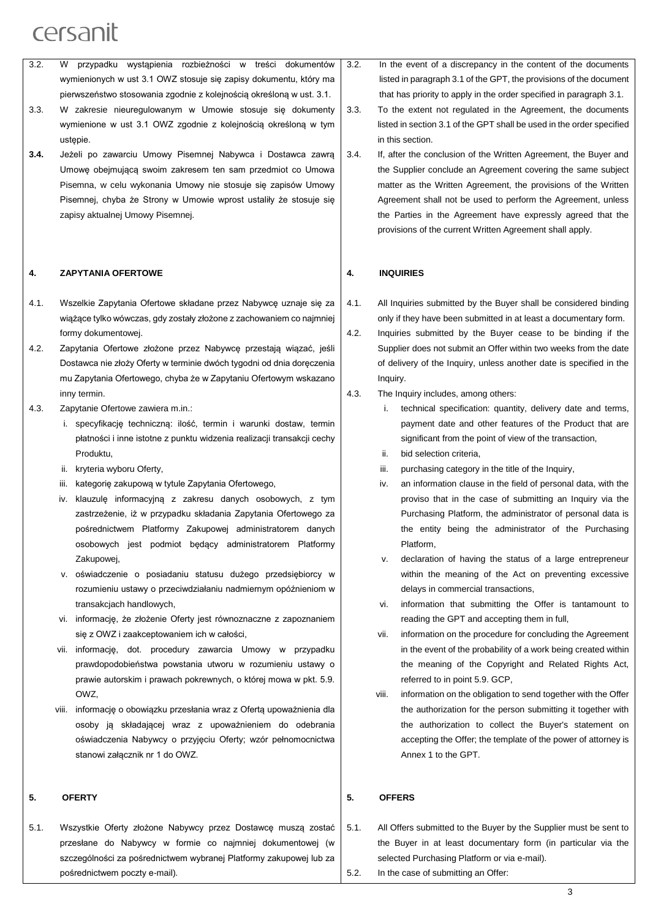- 3.2. W przypadku wystąpienia rozbieżności w treści dokumentów wymienionych w ust 3.1 OWZ stosuje się zapisy dokumentu, który ma pierwszeństwo stosowania zgodnie z kolejnością określoną w ust. 3.1.
- 3.3. W zakresie nieuregulowanym w Umowie stosuje się dokumenty wymienione w ust 3.1 OWZ zgodnie z kolejnością określoną w tym ustępie.
- **3.4.** Jeżeli po zawarciu Umowy Pisemnej Nabywca i Dostawca zawrą Umowę obejmującą swoim zakresem ten sam przedmiot co Umowa Pisemna, w celu wykonania Umowy nie stosuje się zapisów Umowy Pisemnej, chyba że Strony w Umowie wprost ustaliły że stosuje się zapisy aktualnej Umowy Pisemnej.

#### **4. ZAPYTANIA OFERTOWE**

- 4.1. Wszelkie Zapytania Ofertowe składane przez Nabywcę uznaje się za wiążące tylko wówczas, gdy zostały złożone z zachowaniem co najmniej formy dokumentowej.
- 4.2. Zapytania Ofertowe złożone przez Nabywcę przestają wiązać, jeśli Dostawca nie złoży Oferty w terminie dwóch tygodni od dnia doręczenia mu Zapytania Ofertowego, chyba że w Zapytaniu Ofertowym wskazano inny termin.
- 4.3. Zapytanie Ofertowe zawiera m.in.:
	- i. specyfikację techniczną: ilość, termin i warunki dostaw, termin płatności i inne istotne z punktu widzenia realizacji transakcji cechy Produktu,
	- ii. kryteria wyboru Oferty,
	- iii. kategorię zakupową w tytule Zapytania Ofertowego,
	- iv. klauzulę informacyjną z zakresu danych osobowych, z tym zastrzeżenie, iż w przypadku składania Zapytania Ofertowego za pośrednictwem Platformy Zakupowej administratorem danych osobowych jest podmiot będący administratorem Platformy Zakupowej,
	- v. oświadczenie o posiadaniu statusu dużego przedsiębiorcy w rozumieniu ustawy o przeciwdziałaniu nadmiernym opóźnieniom w transakcjach handlowych,
	- vi. informację, że złożenie Oferty jest równoznaczne z zapoznaniem się z OWZ i zaakceptowaniem ich w całości,
	- vii. informację, dot. procedury zawarcia Umowy w przypadku prawdopodobieństwa powstania utworu w rozumieniu ustawy o prawie autorskim i prawach pokrewnych, o której mowa w pkt. 5.9. OWZ,
	- viii. informację o obowiązku przesłania wraz z Ofertą upoważnienia dla osoby ją składającej wraz z upoważnieniem do odebrania oświadczenia Nabywcy o przyjęciu Oferty; wzór pełnomocnictwa stanowi załącznik nr 1 do OWZ.

### **5. OFERTY**

5.1. Wszystkie Oferty złożone Nabywcy przez Dostawcę muszą zostać przesłane do Nabywcy w formie co najmniej dokumentowej (w szczególności za pośrednictwem wybranej Platformy zakupowej lub za pośrednictwem poczty e-mail).

- 3.2. In the event of a discrepancy in the content of the documents listed in paragraph 3.1 of the GPT, the provisions of the document that has priority to apply in the order specified in paragraph 3.1.
- 3.3. To the extent not regulated in the Agreement, the documents listed in section 3.1 of the GPT shall be used in the order specified in this section.
- 3.4. If, after the conclusion of the Written Agreement, the Buyer and the Supplier conclude an Agreement covering the same subject matter as the Written Agreement, the provisions of the Written Agreement shall not be used to perform the Agreement, unless the Parties in the Agreement have expressly agreed that the provisions of the current Written Agreement shall apply.

#### **4. INQUIRIES**

- 4.1. All Inquiries submitted by the Buyer shall be considered binding only if they have been submitted in at least a documentary form.
- 4.2. Inquiries submitted by the Buyer cease to be binding if the Supplier does not submit an Offer within two weeks from the date of delivery of the Inquiry, unless another date is specified in the Inquiry.
- 4.3. The Inquiry includes, among others:
	- i. technical specification: quantity, delivery date and terms, payment date and other features of the Product that are significant from the point of view of the transaction.
	- ii. bid selection criteria,
	- iii. purchasing category in the title of the Inquiry,
	- iv. an information clause in the field of personal data, with the proviso that in the case of submitting an Inquiry via the Purchasing Platform, the administrator of personal data is the entity being the administrator of the Purchasing Platform,
	- v. declaration of having the status of a large entrepreneur within the meaning of the Act on preventing excessive delays in commercial transactions,
	- vi. information that submitting the Offer is tantamount to reading the GPT and accepting them in full,
	- vii. information on the procedure for concluding the Agreement in the event of the probability of a work being created within the meaning of the Copyright and Related Rights Act, referred to in point 5.9. GCP,
	- viii. information on the obligation to send together with the Offer the authorization for the person submitting it together with the authorization to collect the Buyer's statement on accepting the Offer; the template of the power of attorney is Annex 1 to the GPT.

#### **5. OFFERS**

- 5.1. All Offers submitted to the Buyer by the Supplier must be sent to the Buyer in at least documentary form (in particular via the selected Purchasing Platform or via e-mail). 5.2. In the case of submitting an Offer:
	- $\overline{3}$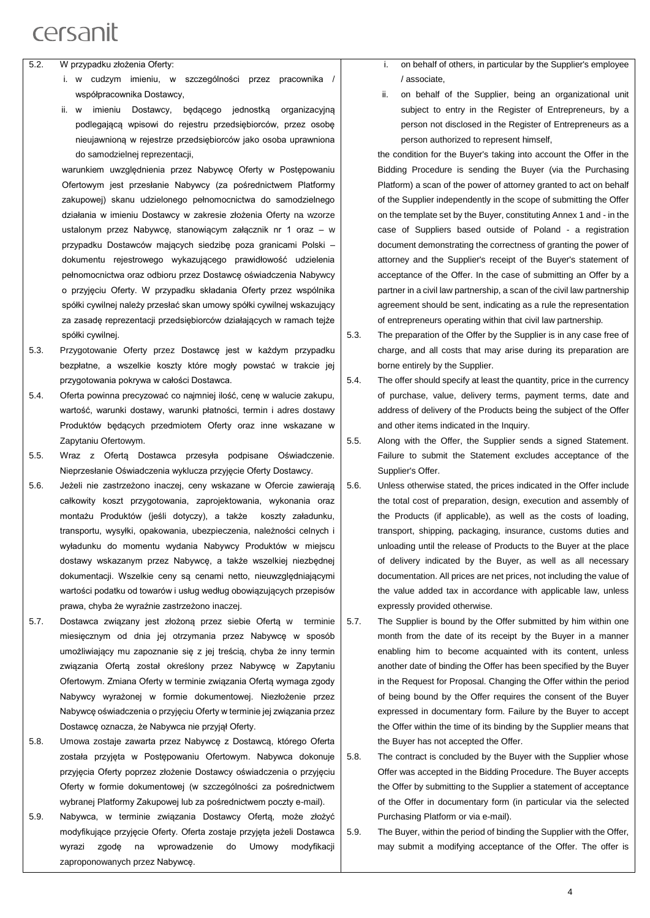- 5.2. W przypadku złożenia Oferty:
	- i. w cudzym imieniu, w szczególności przez pracownika / współpracownika Dostawcy,
	- ii. w imieniu Dostawcy, będącego jednostką organizacyjną podlegającą wpisowi do rejestru przedsiębiorców, przez osobę nieujawnioną w rejestrze przedsiębiorców jako osoba uprawniona do samodzielnej reprezentacji,

warunkiem uwzględnienia przez Nabywcę Oferty w Postępowaniu Ofertowym jest przesłanie Nabywcy (za pośrednictwem Platformy zakupowej) skanu udzielonego pełnomocnictwa do samodzielnego działania w imieniu Dostawcy w zakresie złożenia Oferty na wzorze ustalonym przez Nabywcę, stanowiącym załącznik nr 1 oraz – w przypadku Dostawców mających siedzibę poza granicami Polski – dokumentu rejestrowego wykazującego prawidłowość udzielenia pełnomocnictwa oraz odbioru przez Dostawcę oświadczenia Nabywcy o przyjęciu Oferty. W przypadku składania Oferty przez wspólnika spółki cywilnej należy przesłać skan umowy spółki cywilnej wskazujący za zasadę reprezentacji przedsiębiorców działających w ramach tejże spółki cywilnej.

- 5.3. Przygotowanie Oferty przez Dostawcę jest w każdym przypadku bezpłatne, a wszelkie koszty które mogły powstać w trakcie jej przygotowania pokrywa w całości Dostawca.
- 5.4. Oferta powinna precyzować co najmniej ilość, cenę w walucie zakupu, wartość, warunki dostawy, warunki płatności, termin i adres dostawy Produktów będących przedmiotem Oferty oraz inne wskazane w Zapytaniu Ofertowym.
- 5.5. Wraz z Ofertą Dostawca przesyła podpisane Oświadczenie. Nieprzesłanie Oświadczenia wyklucza przyjęcie Oferty Dostawcy.
- 5.6. Jeżeli nie zastrzeżono inaczej, ceny wskazane w Ofercie zawierają całkowity koszt przygotowania, zaprojektowania, wykonania oraz montażu Produktów (jeśli dotyczy), a także koszty załadunku, transportu, wysyłki, opakowania, ubezpieczenia, należności celnych i wyładunku do momentu wydania Nabywcy Produktów w miejscu dostawy wskazanym przez Nabywcę, a także wszelkiej niezbędnej dokumentacji. Wszelkie ceny są cenami netto, nieuwzględniającymi wartości podatku od towarów i usług według obowiązujących przepisów prawa, chyba że wyraźnie zastrzeżono inaczej.
- 5.7. Dostawca związany jest złożoną przez siebie Ofertą w terminie miesięcznym od dnia jej otrzymania przez Nabywcę w sposób umożliwiający mu zapoznanie się z jej treścią, chyba że inny termin związania Ofertą został określony przez Nabywcę w Zapytaniu Ofertowym. Zmiana Oferty w terminie związania Ofertą wymaga zgody Nabywcy wyrażonej w formie dokumentowej. Niezłożenie przez Nabywcę oświadczenia o przyjęciu Oferty w terminie jej związania przez Dostawcę oznacza, że Nabywca nie przyjął Oferty.
- 5.8. Umowa zostaje zawarta przez Nabywcę z Dostawcą, którego Oferta została przyjęta w Postępowaniu Ofertowym. Nabywca dokonuje przyjęcia Oferty poprzez złożenie Dostawcy oświadczenia o przyjęciu Oferty w formie dokumentowej (w szczególności za pośrednictwem wybranej Platformy Zakupowej lub za pośrednictwem poczty e-mail).
- 5.9. Nabywca, w terminie związania Dostawcy Ofertą, może złożyć modyfikujące przyjęcie Oferty. Oferta zostaje przyjęta jeżeli Dostawca wyrazi zgodę na wprowadzenie do Umowy modyfikacji zaproponowanych przez Nabywcę.
- i. on behalf of others, in particular by the Supplier's employee / associate,
- ii. on behalf of the Supplier, being an organizational unit subject to entry in the Register of Entrepreneurs, by a person not disclosed in the Register of Entrepreneurs as a person authorized to represent himself,

the condition for the Buyer's taking into account the Offer in the Bidding Procedure is sending the Buyer (via the Purchasing Platform) a scan of the power of attorney granted to act on behalf of the Supplier independently in the scope of submitting the Offer on the template set by the Buyer, constituting Annex 1 and - in the case of Suppliers based outside of Poland - a registration document demonstrating the correctness of granting the power of attorney and the Supplier's receipt of the Buyer's statement of acceptance of the Offer. In the case of submitting an Offer by a partner in a civil law partnership, a scan of the civil law partnership agreement should be sent, indicating as a rule the representation of entrepreneurs operating within that civil law partnership.

5.3. The preparation of the Offer by the Supplier is in any case free of charge, and all costs that may arise during its preparation are borne entirely by the Supplier.

5.4. The offer should specify at least the quantity, price in the currency of purchase, value, delivery terms, payment terms, date and address of delivery of the Products being the subject of the Offer and other items indicated in the Inquiry.

5.5. Along with the Offer, the Supplier sends a signed Statement. Failure to submit the Statement excludes acceptance of the Supplier's Offer.

- 5.6. Unless otherwise stated, the prices indicated in the Offer include the total cost of preparation, design, execution and assembly of the Products (if applicable), as well as the costs of loading, transport, shipping, packaging, insurance, customs duties and unloading until the release of Products to the Buyer at the place of delivery indicated by the Buyer, as well as all necessary documentation. All prices are net prices, not including the value of the value added tax in accordance with applicable law, unless expressly provided otherwise.
- 5.7. The Supplier is bound by the Offer submitted by him within one month from the date of its receipt by the Buyer in a manner enabling him to become acquainted with its content, unless another date of binding the Offer has been specified by the Buyer in the Request for Proposal. Changing the Offer within the period of being bound by the Offer requires the consent of the Buyer expressed in documentary form. Failure by the Buyer to accept the Offer within the time of its binding by the Supplier means that the Buyer has not accepted the Offer.

5.8. The contract is concluded by the Buyer with the Supplier whose Offer was accepted in the Bidding Procedure. The Buyer accepts the Offer by submitting to the Supplier a statement of acceptance of the Offer in documentary form (in particular via the selected Purchasing Platform or via e-mail).

5.9. The Buyer, within the period of binding the Supplier with the Offer, may submit a modifying acceptance of the Offer. The offer is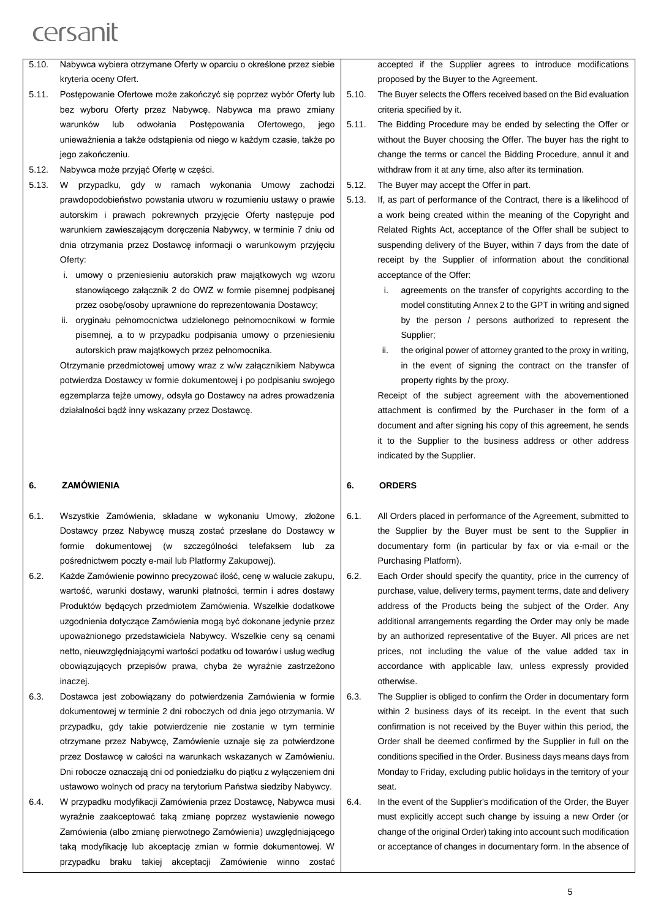| 5.10. | Nabywca wybiera otrzymane Oferty w oparciu o określone przez siebie  |
|-------|----------------------------------------------------------------------|
|       | kryteria oceny Ofert.                                                |
| 5.11. | Postępowanie Ofertowe może zakończyć się poprzez wybór Oferty lub    |
|       | bez wyboru Oferty przez Nabywcę. Nabywca ma prawo zmiany             |
|       | odwołania<br>Postepowania<br>Ofertowego,<br>warunków<br>lub<br>jego  |
|       | unieważnienia a także odstapienia od niego w każdym czasie, także po |
|       | jego zakończeniu.                                                    |
|       |                                                                      |

- 5.12. Nabywca może przyjąć Ofertę w części.
- 5.13. W przypadku, gdy w ramach wykonania Umowy zachodzi prawdopodobieństwo powstania utworu w rozumieniu ustawy o prawie autorskim i prawach pokrewnych przyjęcie Oferty następuje pod warunkiem zawieszającym doręczenia Nabywcy, w terminie 7 dniu od dnia otrzymania przez Dostawcę informacji o warunkowym przyjęciu Oferty<sup>-</sup>
	- i. umowy o przeniesieniu autorskich praw majątkowych wg wzoru stanowiącego załącznik 2 do OWZ w formie pisemnej podpisanej przez osobę/osoby uprawnione do reprezentowania Dostawcy;
	- ii. oryginału pełnomocnictwa udzielonego pełnomocnikowi w formie pisemnej, a to w przypadku podpisania umowy o przeniesieniu autorskich praw majątkowych przez pełnomocnika.

Otrzymanie przedmiotowej umowy wraz z w/w załącznikiem Nabywca potwierdza Dostawcy w formie dokumentowej i po podpisaniu swojego egzemplarza tejże umowy, odsyła go Dostawcy na adres prowadzenia działalności bądź inny wskazany przez Dostawcę.

#### **6. ZAMÓWIENIA**

- 6.1. Wszystkie Zamówienia, składane w wykonaniu Umowy, złożone Dostawcy przez Nabywcę muszą zostać przesłane do Dostawcy w formie dokumentowej (w szczególności telefaksem lub za pośrednictwem poczty e-mail lub Platformy Zakupowej).
- 6.2. Każde Zamówienie powinno precyzować ilość, cenę w walucie zakupu, wartość, warunki dostawy, warunki płatności, termin i adres dostawy Produktów będących przedmiotem Zamówienia. Wszelkie dodatkowe uzgodnienia dotyczące Zamówienia mogą być dokonane jedynie przez upoważnionego przedstawiciela Nabywcy. Wszelkie ceny są cenami netto, nieuwzględniającymi wartości podatku od towarów i usług według obowiązujących przepisów prawa, chyba że wyraźnie zastrzeżono inaczej.
- 6.3. Dostawca jest zobowiązany do potwierdzenia Zamówienia w formie dokumentowej w terminie 2 dni roboczych od dnia jego otrzymania. W przypadku, gdy takie potwierdzenie nie zostanie w tym terminie otrzymane przez Nabywcę, Zamówienie uznaje się za potwierdzone przez Dostawcę w całości na warunkach wskazanych w Zamówieniu. Dni robocze oznaczają dni od poniedziałku do piątku z wyłączeniem dni ustawowo wolnych od pracy na terytorium Państwa siedziby Nabywcy.
- 6.4. W przypadku modyfikacji Zamówienia przez Dostawcę, Nabywca musi wyraźnie zaakceptować taką zmianę poprzez wystawienie nowego Zamówienia (albo zmianę pierwotnego Zamówienia) uwzględniającego taką modyfikację lub akceptację zmian w formie dokumentowej. W przypadku braku takiej akceptacji Zamówienie winno zostać

accepted if the Supplier agrees to introduce modifications proposed by the Buyer to the Agreement.

- 5.10. The Buyer selects the Offers received based on the Bid evaluation criteria specified by it.
- 5.11. The Bidding Procedure may be ended by selecting the Offer or without the Buyer choosing the Offer. The buyer has the right to change the terms or cancel the Bidding Procedure, annul it and withdraw from it at any time, also after its termination.
- 5.12. The Buyer may accept the Offer in part.
- 5.13. If, as part of performance of the Contract, there is a likelihood of a work being created within the meaning of the Copyright and Related Rights Act, acceptance of the Offer shall be subject to suspending delivery of the Buyer, within 7 days from the date of receipt by the Supplier of information about the conditional acceptance of the Offer:
	- i. agreements on the transfer of copyrights according to the model constituting Annex 2 to the GPT in writing and signed by the person / persons authorized to represent the Supplier;
	- ii. the original power of attorney granted to the proxy in writing, in the event of signing the contract on the transfer of property rights by the proxy.

Receipt of the subject agreement with the abovementioned attachment is confirmed by the Purchaser in the form of a document and after signing his copy of this agreement, he sends it to the Supplier to the business address or other address indicated by the Supplier.

#### **6. ORDERS**

- 6.1. All Orders placed in performance of the Agreement, submitted to the Supplier by the Buyer must be sent to the Supplier in documentary form (in particular by fax or via e-mail or the Purchasing Platform).
- 6.2. Each Order should specify the quantity, price in the currency of purchase, value, delivery terms, payment terms, date and delivery address of the Products being the subject of the Order. Any additional arrangements regarding the Order may only be made by an authorized representative of the Buyer. All prices are net prices, not including the value of the value added tax in accordance with applicable law, unless expressly provided otherwise.
- 6.3. The Supplier is obliged to confirm the Order in documentary form within 2 business days of its receipt. In the event that such confirmation is not received by the Buyer within this period, the Order shall be deemed confirmed by the Supplier in full on the conditions specified in the Order. Business days means days from Monday to Friday, excluding public holidays in the territory of your seat.
- 6.4. In the event of the Supplier's modification of the Order, the Buyer must explicitly accept such change by issuing a new Order (or change of the original Order) taking into account such modification or acceptance of changes in documentary form. In the absence of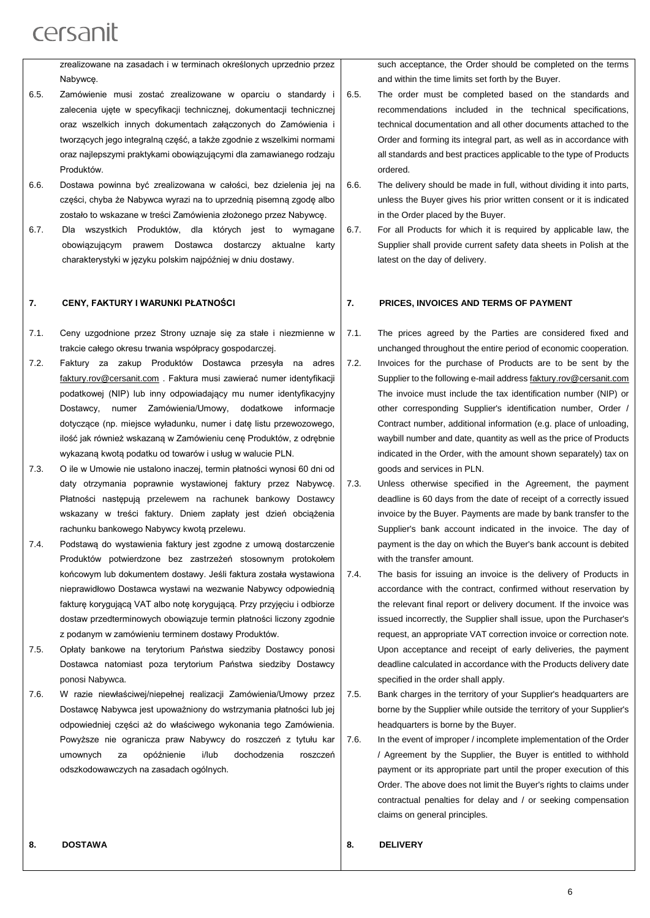zrealizowane na zasadach i w terminach określonych uprzednio przez Nabywcę.

- 6.5. Zamówienie musi zostać zrealizowane w oparciu o standardy i zalecenia ujęte w specyfikacji technicznej, dokumentacji technicznej oraz wszelkich innych dokumentach załączonych do Zamówienia i tworzących jego integralną część, a także zgodnie z wszelkimi normami oraz najlepszymi praktykami obowiązującymi dla zamawianego rodzaju Produktów.
- 6.6. Dostawa powinna być zrealizowana w całości, bez dzielenia jej na części, chyba że Nabywca wyrazi na to uprzednią pisemną zgodę albo zostało to wskazane w treści Zamówienia złożonego przez Nabywcę.
- 6.7. Dla wszystkich Produktów, dla których jest to wymagane obowiązującym prawem Dostawca dostarczy aktualne karty charakterystyki w języku polskim najpóźniej w dniu dostawy.

#### **7. CENY, FAKTURY I WARUNKI PŁATNOŚCI**

- 7.1. Ceny uzgodnione przez Strony uznaje się za stałe i niezmienne w trakcie całego okresu trwania współpracy gospodarczej.
- 7.2. Faktury za zakup Produktów Dostawca przesyła na adres [faktury.rov@cersanit.com](mailto:faktury.rov@cersanit.com) . Faktura musi zawierać numer identyfikacji podatkowej (NIP) lub inny odpowiadający mu numer identyfikacyjny Dostawcy, numer Zamówienia/Umowy, dodatkowe informacje dotyczące (np. miejsce wyładunku, numer i datę listu przewozowego, ilość jak również wskazaną w Zamówieniu cenę Produktów, z odrębnie wykazaną kwotą podatku od towarów i usług w walucie PLN.
- 7.3. O ile w Umowie nie ustalono inaczej, termin płatności wynosi 60 dni od daty otrzymania poprawnie wystawionej faktury przez Nabywcę. Płatności następują przelewem na rachunek bankowy Dostawcy wskazany w treści faktury. Dniem zapłaty jest dzień obciążenia rachunku bankowego Nabywcy kwotą przelewu.
- 7.4. Podstawą do wystawienia faktury jest zgodne z umową dostarczenie Produktów potwierdzone bez zastrzeżeń stosownym protokołem końcowym lub dokumentem dostawy. Jeśli faktura została wystawiona nieprawidłowo Dostawca wystawi na wezwanie Nabywcy odpowiednią fakturę korygującą VAT albo notę korygującą. Przy przyjęciu i odbiorze dostaw przedterminowych obowiązuje termin płatności liczony zgodnie z podanym w zamówieniu terminem dostawy Produktów.
- 7.5. Opłaty bankowe na terytorium Państwa siedziby Dostawcy ponosi Dostawca natomiast poza terytorium Państwa siedziby Dostawcy ponosi Nabywca.
- 7.6. W razie niewłaściwej/niepełnej realizacji Zamówienia/Umowy przez Dostawcę Nabywca jest upoważniony do wstrzymania płatności lub jej odpowiedniej części aż do właściwego wykonania tego Zamówienia. Powyższe nie ogranicza praw Nabywcy do roszczeń z tytułu kar umownych za opóźnienie i/lub dochodzenia roszczeń odszkodowawczych na zasadach ogólnych.

such acceptance, the Order should be completed on the terms and within the time limits set forth by the Buyer.

- 6.5. The order must be completed based on the standards and recommendations included in the technical specifications, technical documentation and all other documents attached to the Order and forming its integral part, as well as in accordance with all standards and best practices applicable to the type of Products ordered.
- 6.6. The delivery should be made in full, without dividing it into parts, unless the Buyer gives his prior written consent or it is indicated in the Order placed by the Buyer.
- 6.7. For all Products for which it is required by applicable law, the Supplier shall provide current safety data sheets in Polish at the latest on the day of delivery.

#### **7. PRICES, INVOICES AND TERMS OF PAYMENT**

7.1. The prices agreed by the Parties are considered fixed and unchanged throughout the entire period of economic cooperation. 7.2. Invoices for the purchase of Products are to be sent by the Supplier to the following e-mail address [faktury.rov@cersanit.com](mailto:faktury.rov@cersanit.com) The invoice must include the tax identification number (NIP) or other corresponding Supplier's identification number, Order / Contract number, additional information (e.g. place of unloading, waybill number and date, quantity as well as the price of Products indicated in the Order, with the amount shown separately) tax on goods and services in PLN.

7.3. Unless otherwise specified in the Agreement, the payment deadline is 60 days from the date of receipt of a correctly issued invoice by the Buyer. Payments are made by bank transfer to the Supplier's bank account indicated in the invoice. The day of payment is the day on which the Buyer's bank account is debited with the transfer amount.

- 7.4. The basis for issuing an invoice is the delivery of Products in accordance with the contract, confirmed without reservation by the relevant final report or delivery document. If the invoice was issued incorrectly, the Supplier shall issue, upon the Purchaser's request, an appropriate VAT correction invoice or correction note. Upon acceptance and receipt of early deliveries, the payment deadline calculated in accordance with the Products delivery date specified in the order shall apply.
- 7.5. Bank charges in the territory of your Supplier's headquarters are borne by the Supplier while outside the territory of your Supplier's headquarters is borne by the Buyer.
- 7.6. In the event of improper / incomplete implementation of the Order / Agreement by the Supplier, the Buyer is entitled to withhold payment or its appropriate part until the proper execution of this Order. The above does not limit the Buyer's rights to claims under contractual penalties for delay and / or seeking compensation claims on general principles.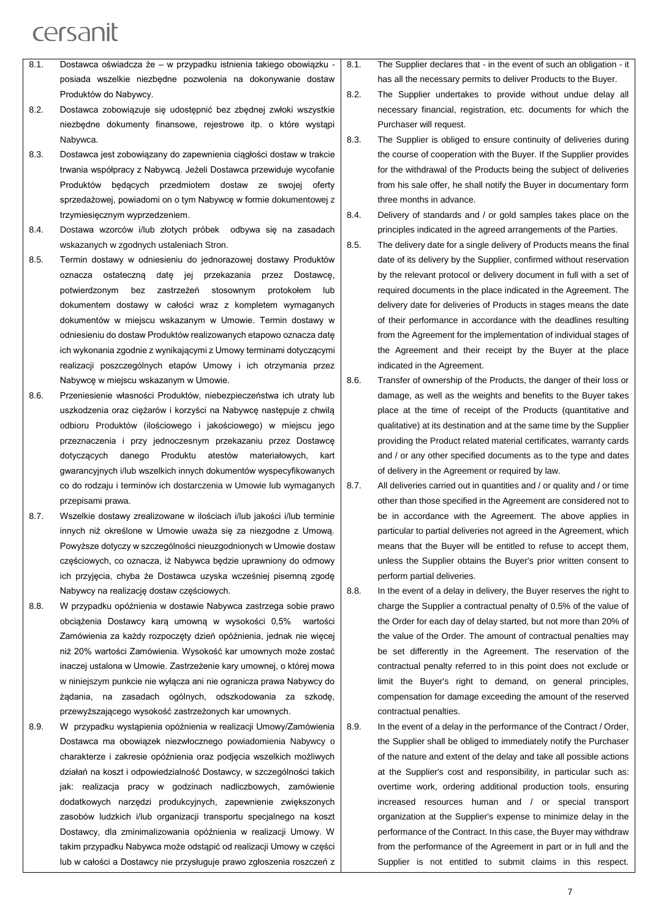|      | posiada wszelkie niezbędne pozwolenia na dokonywanie dostaw            |      |
|------|------------------------------------------------------------------------|------|
|      | Produktów do Nabywcy.                                                  | 8.2. |
| 8.2. | Dostawca zobowiązuje się udostępnić bez zbędnej zwłoki wszystkie       |      |
|      | niezbedne dokumenty finansowe, rejestrowe itp. o które wystąpi         |      |
|      | Nabywca.                                                               | 8.3. |
| 8.3. | Dostawca jest zobowiązany do zapewnienia ciągłości dostaw w trakcie    |      |
|      | trwania współpracy z Nabywcą. Jeżeli Dostawca przewiduje wycofanie     |      |
|      | Produktów będących przedmiotem dostaw ze<br>swojej<br>ofertv           |      |
|      | sprzedażowej, powiadomi on o tym Nabywcę w formie dokumentowej z       |      |
|      | trzymiesięcznym wyprzedzeniem.                                         | 8.4. |
| 8.4. | Dostawa wzorców i/lub złotych próbek odbywa się na zasadach            |      |
|      | wskazanych w zgodnych ustaleniach Stron.                               | 8.5. |
| 8.5. | Termin dostawy w odniesieniu do jednorazowej dostawy Produktów         |      |
|      | ostateczna date jej przekazania przez<br>oznacza<br>Dostawce.          |      |
|      | zastrzeżeń stosownym<br>potwierdzonym<br>bez<br>protokołem<br>lub      |      |
|      | dokumentem dostawy w całości wraz z kompletem wymaganych               |      |
|      | dokumentów w miejscu wskazanym w Umowie. Termin dostawy w              |      |
|      | odniesieniu do dostaw Produktów realizowanych etapowo oznacza datę     |      |
|      | ich wykonania zgodnie z wynikającymi z Umowy terminami dotyczącymi     |      |
|      | realizacji poszczególnych etapów Umowy i ich otrzymania przez          |      |
|      | Nabywcę w miejscu wskazanym w Umowie.                                  | 8.6. |
| 8.6. | Przeniesienie własności Produktów, niebezpieczeństwa ich utraty lub    |      |
|      | uszkodzenia oraz ciężarów i korzyści na Nabywcę następuje z chwilą     |      |
|      | odbioru Produktów (ilościowego i jakościowego) w miejscu jego          |      |
|      | przeznaczenia i przy jednoczesnym przekazaniu przez Dostawcę           |      |
|      | Produktu<br>dotyczących<br>danego<br>atestów<br>materiałowych,<br>kart |      |
|      | gwarancyjnych i/lub wszelkich innych dokumentów wyspecyfikowanych      |      |
|      |                                                                        |      |

8.1. Dostawca oświadcza że – w przypadku istnienia takiego obowiązku - 8.1.

przepisami prawa. 8.7. Wszelkie dostawy zrealizowane w ilościach i/lub jakości i/lub terminie innych niż określone w Umowie uważa się za niezgodne z Umową. Powyższe dotyczy w szczególności nieuzgodnionych w Umowie dostaw częściowych, co oznacza, iż Nabywca będzie uprawniony do odmowy ich przyjęcia, chyba że Dostawca uzyska wcześniej pisemną zgodę Nabywcy na realizację dostaw częściowych.

co do rodzaju i terminów ich dostarczenia w Umowie lub wymaganych

- 8.8. W przypadku opóźnienia w dostawie Nabywca zastrzega sobie prawo obciążenia Dostawcy karą umowną w wysokości 0,5% wartości Zamówienia za każdy rozpoczęty dzień opóźnienia, jednak nie więcej niż 20% wartości Zamówienia. Wysokość kar umownych może zostać inaczej ustalona w Umowie. Zastrzeżenie kary umownej, o której mowa w niniejszym punkcie nie wyłącza ani nie ogranicza prawa Nabywcy do żądania, na zasadach ogólnych, odszkodowania za szkodę, przewyższającego wysokość zastrzeżonych kar umownych.
- 8.9. W przypadku wystąpienia opóźnienia w realizacji Umowy/Zamówienia Dostawca ma obowiązek niezwłocznego powiadomienia Nabywcy o charakterze i zakresie opóźnienia oraz podjęcia wszelkich możliwych działań na koszt i odpowiedzialność Dostawcy, w szczególności takich jak: realizacja pracy w godzinach nadliczbowych, zamówienie dodatkowych narzędzi produkcyjnych, zapewnienie zwiększonych zasobów ludzkich i/lub organizacji transportu specjalnego na koszt Dostawcy, dla zminimalizowania opóźnienia w realizacji Umowy. W takim przypadku Nabywca może odstąpić od realizacji Umowy w części lub w całości a Dostawcy nie przysługuje prawo zgłoszenia roszczeń z

The Supplier declares that - in the event of such an obligation - it has all the necessary permits to deliver Products to the Buyer.

- The Supplier undertakes to provide without undue delay all necessary financial, registration, etc. documents for which the Purchaser will request.
- The Supplier is obliged to ensure continuity of deliveries during the course of cooperation with the Buyer. If the Supplier provides for the withdrawal of the Products being the subject of deliveries from his sale offer, he shall notify the Buyer in documentary form three months in advance.
- Delivery of standards and / or gold samples takes place on the principles indicated in the agreed arrangements of the Parties.
- The delivery date for a single delivery of Products means the final date of its delivery by the Supplier, confirmed without reservation by the relevant protocol or delivery document in full with a set of required documents in the place indicated in the Agreement. The delivery date for deliveries of Products in stages means the date of their performance in accordance with the deadlines resulting from the Agreement for the implementation of individual stages of the Agreement and their receipt by the Buyer at the place indicated in the Agreement.

Transfer of ownership of the Products, the danger of their loss or damage, as well as the weights and benefits to the Buyer takes place at the time of receipt of the Products (quantitative and qualitative) at its destination and at the same time by the Supplier providing the Product related material certificates, warranty cards and / or any other specified documents as to the type and dates of delivery in the Agreement or required by law.

8.7. All deliveries carried out in quantities and / or quality and / or time other than those specified in the Agreement are considered not to be in accordance with the Agreement. The above applies in particular to partial deliveries not agreed in the Agreement, which means that the Buyer will be entitled to refuse to accept them, unless the Supplier obtains the Buyer's prior written consent to perform partial deliveries.

- 8.8. In the event of a delay in delivery, the Buyer reserves the right to charge the Supplier a contractual penalty of 0.5% of the value of the Order for each day of delay started, but not more than 20% of the value of the Order. The amount of contractual penalties may be set differently in the Agreement. The reservation of the contractual penalty referred to in this point does not exclude or limit the Buyer's right to demand, on general principles, compensation for damage exceeding the amount of the reserved contractual penalties.
- 8.9. In the event of a delay in the performance of the Contract / Order, the Supplier shall be obliged to immediately notify the Purchaser of the nature and extent of the delay and take all possible actions at the Supplier's cost and responsibility, in particular such as: overtime work, ordering additional production tools, ensuring increased resources human and / or special transport organization at the Supplier's expense to minimize delay in the performance of the Contract. In this case, the Buyer may withdraw from the performance of the Agreement in part or in full and the Supplier is not entitled to submit claims in this respect.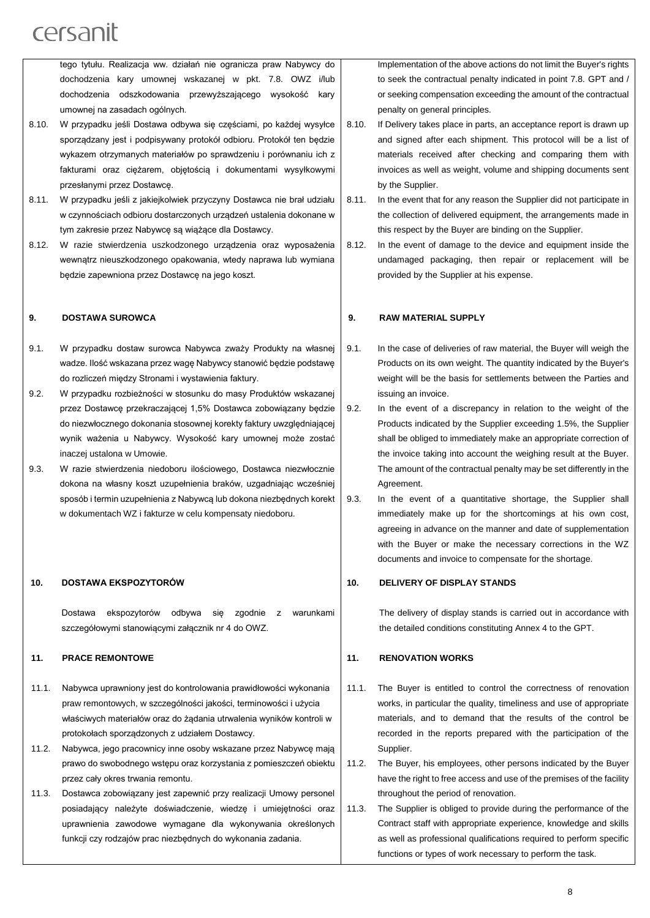tego tytułu. Realizacja ww. działań nie ogranicza praw Nabywcy do dochodzenia kary umownej wskazanej w pkt. 7.8. OWZ i/lub dochodzenia odszkodowania przewyższającego wysokość kary umownej na zasadach ogólnych.

- 8.10. W przypadku jeśli Dostawa odbywa się częściami, po każdej wysyłce sporządzany jest i podpisywany protokół odbioru. Protokół ten będzie wykazem otrzymanych materiałów po sprawdzeniu i porównaniu ich z fakturami oraz ciężarem, objętością i dokumentami wysyłkowymi przesłanymi przez Dostawcę.
- 8.11. W przypadku jeśli z jakiejkolwiek przyczyny Dostawca nie brał udziału w czynnościach odbioru dostarczonych urządzeń ustalenia dokonane w tym zakresie przez Nabywcę są wiążące dla Dostawcy.
- 8.12. W razie stwierdzenia uszkodzonego urządzenia oraz wyposażenia wewnątrz nieuszkodzonego opakowania, wtedy naprawa lub wymiana będzie zapewniona przez Dostawcę na jego koszt.

#### **9. DOSTAWA SUROWCA**

- 9.1. W przypadku dostaw surowca Nabywca zważy Produkty na własnej wadze. Ilość wskazana przez wagę Nabywcy stanowić będzie podstawę do rozliczeń między Stronami i wystawienia faktury.
- 9.2. W przypadku rozbieżności w stosunku do masy Produktów wskazanej przez Dostawcę przekraczającej 1,5% Dostawca zobowiązany będzie do niezwłocznego dokonania stosownej korekty faktury uwzględniającej wynik ważenia u Nabywcy. Wysokość kary umownej może zostać inaczej ustalona w Umowie.
- 9.3. W razie stwierdzenia niedoboru ilościowego, Dostawca niezwłocznie dokona na własny koszt uzupełnienia braków, uzgadniając wcześniej sposób i termin uzupełnienia z Nabywcą lub dokona niezbędnych korekt w dokumentach WZ i fakturze w celu kompensaty niedoboru.

#### **10. DOSTAWA EKSPOZYTORÓW**

Dostawa ekspozytorów odbywa się zgodnie z warunkami szczegółowymi stanowiącymi załącznik nr 4 do OWZ.

#### **11. PRACE REMONTOWE**

- 11.1. Nabywca uprawniony jest do kontrolowania prawidłowości wykonania praw remontowych, w szczególności jakości, terminowości i użycia właściwych materiałów oraz do żądania utrwalenia wyników kontroli w protokołach sporządzonych z udziałem Dostawcy.
- 11.2. Nabywca, jego pracownicy inne osoby wskazane przez Nabywcę mają prawo do swobodnego wstępu oraz korzystania z pomieszczeń obiektu przez cały okres trwania remontu.
- 11.3. Dostawca zobowiązany jest zapewnić przy realizacji Umowy personel posiadający należyte doświadczenie, wiedzę i umiejętności oraz uprawnienia zawodowe wymagane dla wykonywania określonych funkcji czy rodzajów prac niezbędnych do wykonania zadania.

Implementation of the above actions do not limit the Buyer's rights to seek the contractual penalty indicated in point 7.8. GPT and / or seeking compensation exceeding the amount of the contractual penalty on general principles.

- 8.10. If Delivery takes place in parts, an acceptance report is drawn up and signed after each shipment. This protocol will be a list of materials received after checking and comparing them with invoices as well as weight, volume and shipping documents sent by the Supplier.
- 8.11. In the event that for any reason the Supplier did not participate in the collection of delivered equipment, the arrangements made in this respect by the Buyer are binding on the Supplier.
- 8.12. In the event of damage to the device and equipment inside the undamaged packaging, then repair or replacement will be provided by the Supplier at his expense.

#### **9. RAW MATERIAL SUPPLY**

- 9.1. In the case of deliveries of raw material, the Buyer will weigh the Products on its own weight. The quantity indicated by the Buyer's weight will be the basis for settlements between the Parties and issuing an invoice.
- 9.2. In the event of a discrepancy in relation to the weight of the Products indicated by the Supplier exceeding 1.5%, the Supplier shall be obliged to immediately make an appropriate correction of the invoice taking into account the weighing result at the Buyer. The amount of the contractual penalty may be set differently in the Agreement.
- 9.3. In the event of a quantitative shortage, the Supplier shall immediately make up for the shortcomings at his own cost, agreeing in advance on the manner and date of supplementation with the Buyer or make the necessary corrections in the WZ documents and invoice to compensate for the shortage.

#### **10. DELIVERY OF DISPLAY STANDS**

The delivery of display stands is carried out in accordance with the detailed conditions constituting Annex 4 to the GPT.

#### **11. RENOVATION WORKS**

- 11.1. The Buyer is entitled to control the correctness of renovation works, in particular the quality, timeliness and use of appropriate materials, and to demand that the results of the control be recorded in the reports prepared with the participation of the Supplier.
- 11.2. The Buyer, his employees, other persons indicated by the Buyer have the right to free access and use of the premises of the facility throughout the period of renovation.
- 11.3. The Supplier is obliged to provide during the performance of the Contract staff with appropriate experience, knowledge and skills as well as professional qualifications required to perform specific functions or types of work necessary to perform the task.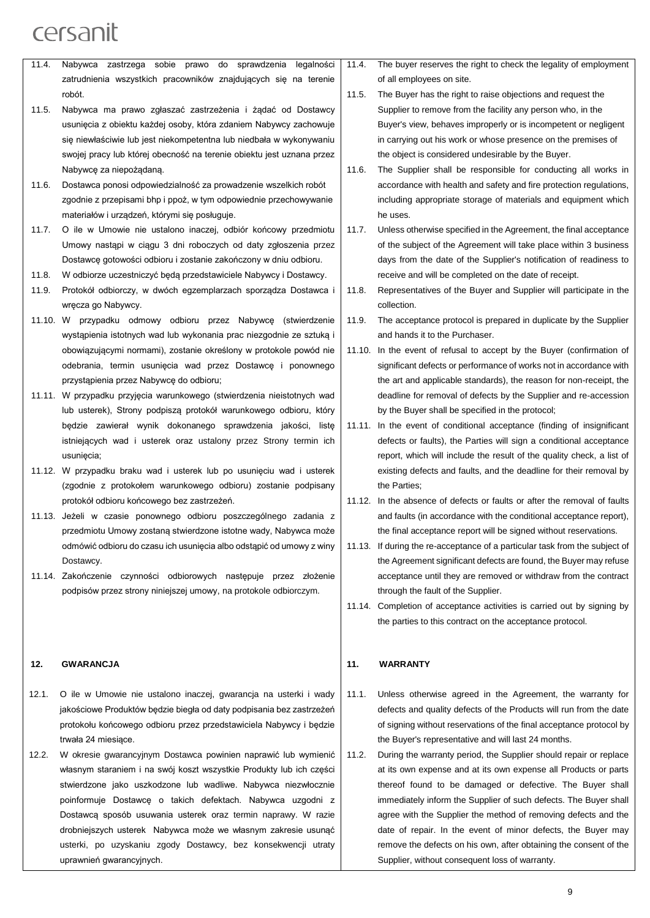- 11.4. Nabywca zastrzega sobie prawo do sprawdzenia legalności zatrudnienia wszystkich pracowników znajdujących się na terenie robót.
- 11.5. Nabywca ma prawo zgłaszać zastrzeżenia i żądać od Dostawcy usunięcia z obiektu każdej osoby, która zdaniem Nabywcy zachowuje się niewłaściwie lub jest niekompetentna lub niedbała w wykonywaniu swojej pracy lub której obecność na terenie obiektu jest uznana przez Nabywcę za niepożądaną.
- 11.6. Dostawca ponosi odpowiedzialność za prowadzenie wszelkich robót zgodnie z przepisami bhp i ppoż, w tym odpowiednie przechowywanie materiałów i urządzeń, którymi się posługuje.
- 11.7. O ile w Umowie nie ustalono inaczej, odbiór końcowy przedmiotu Umowy nastąpi w ciągu 3 dni roboczych od daty zgłoszenia przez Dostawcę gotowości odbioru i zostanie zakończony w dniu odbioru.
- 11.8. W odbiorze uczestniczyć będą przedstawiciele Nabywcy i Dostawcy.
- 11.9. Protokół odbiorczy, w dwóch egzemplarzach sporządza Dostawca i wręcza go Nabywcy.
- 11.10. W przypadku odmowy odbioru przez Nabywcę (stwierdzenie wystąpienia istotnych wad lub wykonania prac niezgodnie ze sztuką i obowiązującymi normami), zostanie określony w protokole powód nie odebrania, termin usunięcia wad przez Dostawcę i ponownego przystąpienia przez Nabywcę do odbioru;
- 11.11. W przypadku przyjęcia warunkowego (stwierdzenia nieistotnych wad lub usterek), Strony podpiszą protokół warunkowego odbioru, który będzie zawierał wynik dokonanego sprawdzenia jakości, listę istniejących wad i usterek oraz ustalony przez Strony termin ich usunięcia;
- 11.12. W przypadku braku wad i usterek lub po usunięciu wad i usterek (zgodnie z protokołem warunkowego odbioru) zostanie podpisany protokół odbioru końcowego bez zastrzeżeń.
- 11.13. Jeżeli w czasie ponownego odbioru poszczególnego zadania z przedmiotu Umowy zostaną stwierdzone istotne wady, Nabywca może odmówić odbioru do czasu ich usunięcia albo odstąpić od umowy z winy **Dostawcy**
- 11.14. Zakończenie czynności odbiorowych następuje przez złożenie podpisów przez strony niniejszej umowy, na protokole odbiorczym.

#### **12. GWARANCJA**

- 12.1. O ile w Umowie nie ustalono inaczej, gwarancja na usterki i wady jakościowe Produktów będzie biegła od daty podpisania bez zastrzeżeń protokołu końcowego odbioru przez przedstawiciela Nabywcy i będzie trwała 24 miesiące.
- 12.2. W okresie gwarancyjnym Dostawca powinien naprawić lub wymienić własnym staraniem i na swój koszt wszystkie Produkty lub ich części stwierdzone jako uszkodzone lub wadliwe. Nabywca niezwłocznie poinformuje Dostawcę o takich defektach. Nabywca uzgodni z Dostawcą sposób usuwania usterek oraz termin naprawy. W razie drobniejszych usterek Nabywca może we własnym zakresie usunąć usterki, po uzyskaniu zgody Dostawcy, bez konsekwencji utraty uprawnień gwarancyjnych.
- 11.4. The buyer reserves the right to check the legality of employment of all employees on site.
- 11.5. The Buyer has the right to raise objections and request the Supplier to remove from the facility any person who, in the Buyer's view, behaves improperly or is incompetent or negligent in carrying out his work or whose presence on the premises of the object is considered undesirable by the Buyer.
- 11.6. The Supplier shall be responsible for conducting all works in accordance with health and safety and fire protection regulations, including appropriate storage of materials and equipment which he uses.
- 11.7. Unless otherwise specified in the Agreement, the final acceptance of the subject of the Agreement will take place within 3 business days from the date of the Supplier's notification of readiness to receive and will be completed on the date of receipt.
- 11.8. Representatives of the Buyer and Supplier will participate in the collection.
- 11.9. The acceptance protocol is prepared in duplicate by the Supplier and hands it to the Purchaser.
- 11.10. In the event of refusal to accept by the Buyer (confirmation of significant defects or performance of works not in accordance with the art and applicable standards), the reason for non-receipt, the deadline for removal of defects by the Supplier and re-accession by the Buyer shall be specified in the protocol;
- 11.11. In the event of conditional acceptance (finding of insignificant defects or faults), the Parties will sign a conditional acceptance report, which will include the result of the quality check, a list of existing defects and faults, and the deadline for their removal by the Parties;
- 11.12. In the absence of defects or faults or after the removal of faults and faults (in accordance with the conditional acceptance report), the final acceptance report will be signed without reservations.
- 11.13. If during the re-acceptance of a particular task from the subject of the Agreement significant defects are found, the Buyer may refuse acceptance until they are removed or withdraw from the contract through the fault of the Supplier.
- 11.14. Completion of acceptance activities is carried out by signing by the parties to this contract on the acceptance protocol.

#### **11. WARRANTY**

- 11.1. Unless otherwise agreed in the Agreement, the warranty for defects and quality defects of the Products will run from the date of signing without reservations of the final acceptance protocol by the Buyer's representative and will last 24 months.
- 11.2. During the warranty period, the Supplier should repair or replace at its own expense and at its own expense all Products or parts thereof found to be damaged or defective. The Buyer shall immediately inform the Supplier of such defects. The Buyer shall agree with the Supplier the method of removing defects and the date of repair. In the event of minor defects, the Buyer may remove the defects on his own, after obtaining the consent of the Supplier, without consequent loss of warranty.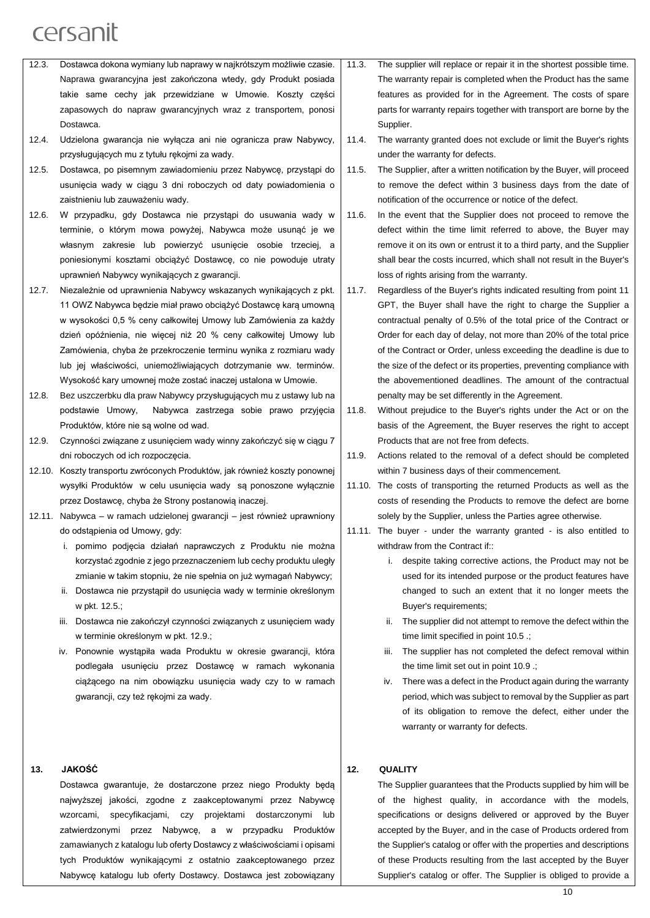- 12.3. Dostawca dokona wymiany lub naprawy w najkrótszym możliwie czasie. Naprawa gwarancyjna jest zakończona wtedy, gdy Produkt posiada takie same cechy jak przewidziane w Umowie. Koszty części zapasowych do napraw gwarancyjnych wraz z transportem, ponosi Dostawca.
- 12.4. Udzielona gwarancja nie wyłącza ani nie ogranicza praw Nabywcy, przysługujących mu z tytułu rękojmi za wady.
- 12.5. Dostawca, po pisemnym zawiadomieniu przez Nabywcę, przystąpi do usunięcia wady w ciągu 3 dni roboczych od daty powiadomienia o zaistnieniu lub zauważeniu wady.
- 12.6. W przypadku, gdy Dostawca nie przystąpi do usuwania wady w terminie, o którym mowa powyżej, Nabywca może usunąć je we własnym zakresie lub powierzyć usunięcie osobie trzeciej, a poniesionymi kosztami obciążyć Dostawcę, co nie powoduje utraty uprawnień Nabywcy wynikających z gwarancji.
- 12.7. Niezależnie od uprawnienia Nabywcy wskazanych wynikających z pkt. 11 OWZ Nabywca będzie miał prawo obciążyć Dostawcę karą umowną w wysokości 0,5 % ceny całkowitej Umowy lub Zamówienia za każdy dzień opóźnienia, nie więcej niż 20 % ceny całkowitej Umowy lub Zamówienia, chyba że przekroczenie terminu wynika z rozmiaru wady lub jej właściwości, uniemożliwiających dotrzymanie ww. terminów. Wysokość kary umownej może zostać inaczej ustalona w Umowie.
- 12.8. Bez uszczerbku dla praw Nabywcy przysługujących mu z ustawy lub na podstawie Umowy, Nabywca zastrzega sobie prawo przyjęcia Produktów, które nie są wolne od wad.
- 12.9. Czynności związane z usunięciem wady winny zakończyć się w ciągu 7 dni roboczych od ich rozpoczęcia.
- 12.10. Koszty transportu zwróconych Produktów, jak również koszty ponownej wysyłki Produktów w celu usunięcia wady są ponoszone wyłącznie przez Dostawcę, chyba że Strony postanowią inaczej.
- 12.11. Nabywca w ramach udzielonej gwarancji jest również uprawniony do odstąpienia od Umowy, gdy:
	- i. pomimo podjęcia działań naprawczych z Produktu nie można korzystać zgodnie z jego przeznaczeniem lub cechy produktu uległy zmianie w takim stopniu, że nie spełnia on już wymagań Nabywcy;
	- ii. Dostawca nie przystąpił do usunięcia wady w terminie określonym w pkt. 12.5.;
	- iii. Dostawca nie zakończył czynności związanych z usunięciem wady w terminie określonym w pkt. 12.9.;
	- iv. Ponownie wystąpiła wada Produktu w okresie gwarancji, która podlegała usunięciu przez Dostawcę w ramach wykonania ciążącego na nim obowiązku usunięcia wady czy to w ramach gwarancji, czy też rękojmi za wady.

#### **13. JAKOŚĆ**

Dostawca gwarantuje, że dostarczone przez niego Produkty będą najwyższej jakości, zgodne z zaakceptowanymi przez Nabywcę wzorcami, specyfikacjami, czy projektami dostarczonymi lub zatwierdzonymi przez Nabywcę, a w przypadku Produktów zamawianych z katalogu lub oferty Dostawcy z właściwościami i opisami tych Produktów wynikającymi z ostatnio zaakceptowanego przez Nabywcę katalogu lub oferty Dostawcy. Dostawca jest zobowiązany

- 11.3. The supplier will replace or repair it in the shortest possible time. The warranty repair is completed when the Product has the same features as provided for in the Agreement. The costs of spare parts for warranty repairs together with transport are borne by the Supplier.
- 11.4. The warranty granted does not exclude or limit the Buyer's rights under the warranty for defects.
- 11.5. The Supplier, after a written notification by the Buyer, will proceed to remove the defect within 3 business days from the date of notification of the occurrence or notice of the defect.
- 11.6. In the event that the Supplier does not proceed to remove the defect within the time limit referred to above, the Buyer may remove it on its own or entrust it to a third party, and the Supplier shall bear the costs incurred, which shall not result in the Buyer's loss of rights arising from the warranty.
- 11.7. Regardless of the Buyer's rights indicated resulting from point 11 GPT, the Buyer shall have the right to charge the Supplier a contractual penalty of 0.5% of the total price of the Contract or Order for each day of delay, not more than 20% of the total price of the Contract or Order, unless exceeding the deadline is due to the size of the defect or its properties, preventing compliance with the abovementioned deadlines. The amount of the contractual penalty may be set differently in the Agreement.
- 11.8. Without prejudice to the Buyer's rights under the Act or on the basis of the Agreement, the Buver reserves the right to accept Products that are not free from defects.
- 11.9. Actions related to the removal of a defect should be completed within 7 business days of their commencement.
- 11.10. The costs of transporting the returned Products as well as the costs of resending the Products to remove the defect are borne solely by the Supplier, unless the Parties agree otherwise.
- 11.11. The buyer under the warranty granted is also entitled to withdraw from the Contract if::
	- i. despite taking corrective actions, the Product may not be used for its intended purpose or the product features have changed to such an extent that it no longer meets the Buyer's requirements;
	- ii. The supplier did not attempt to remove the defect within the time limit specified in point 10.5 .;
	- iii. The supplier has not completed the defect removal within the time limit set out in point 10.9 .;
	- iv. There was a defect in the Product again during the warranty period, which was subject to removal by the Supplier as part of its obligation to remove the defect, either under the warranty or warranty for defects.

#### **12. QUALITY**

The Supplier guarantees that the Products supplied by him will be of the highest quality, in accordance with the models, specifications or designs delivered or approved by the Buyer accepted by the Buyer, and in the case of Products ordered from the Supplier's catalog or offer with the properties and descriptions of these Products resulting from the last accepted by the Buyer Supplier's catalog or offer. The Supplier is obliged to provide a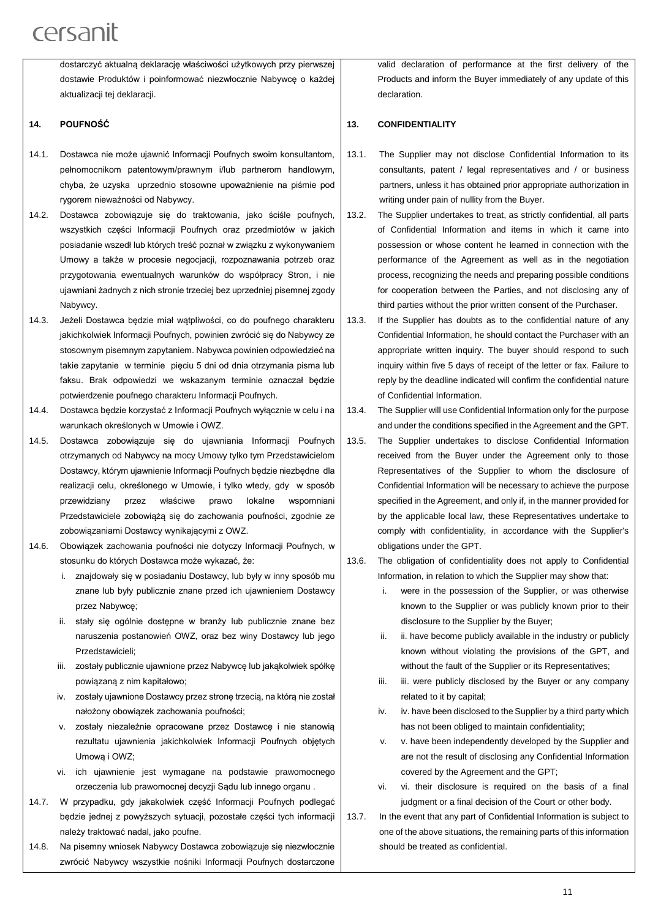dostarczyć aktualną deklarację właściwości użytkowych przy pierwszej dostawie Produktów i poinformować niezwłocznie Nabywcę o każdej aktualizacii tei deklaracii.

#### **14. POUFNOŚĆ**

- 14.1. Dostawca nie może ujawnić Informacji Poufnych swoim konsultantom, pełnomocnikom patentowym/prawnym i/lub partnerom handlowym, chyba, że uzyska uprzednio stosowne upoważnienie na piśmie pod rygorem nieważności od Nabywcy.
- 14.2. Dostawca zobowiązuje się do traktowania, jako ściśle poufnych, wszystkich części Informacji Poufnych oraz przedmiotów w jakich posiadanie wszedł lub których treść poznał w związku z wykonywaniem Umowy a także w procesie negocjacji, rozpoznawania potrzeb oraz przygotowania ewentualnych warunków do współpracy Stron, i nie ujawniani żadnych z nich stronie trzeciej bez uprzedniej pisemnej zgody Nabywcy.
- 14.3. Jeżeli Dostawca będzie miał wątpliwości, co do poufnego charakteru jakichkolwiek Informacji Poufnych, powinien zwrócić się do Nabywcy ze stosownym pisemnym zapytaniem. Nabywca powinien odpowiedzieć na takie zapytanie w terminie pięciu 5 dni od dnia otrzymania pisma lub faksu. Brak odpowiedzi we wskazanym terminie oznaczał będzie potwierdzenie poufnego charakteru Informacji Poufnych.
- 14.4. Dostawca będzie korzystać z Informacji Poufnych wyłącznie w celu i na warunkach określonych w Umowie i OWZ.
- 14.5. Dostawca zobowiązuje się do ujawniania Informacji Poufnych otrzymanych od Nabywcy na mocy Umowy tylko tym Przedstawicielom Dostawcy, którym ujawnienie Informacji Poufnych będzie niezbędne dla realizacji celu, określonego w Umowie, i tylko wtedy, gdy w sposób przewidziany przez właściwe prawo lokalne wspomniani Przedstawiciele zobowiążą się do zachowania poufności, zgodnie ze zobowiązaniami Dostawcy wynikającymi z OWZ.
- 14.6. Obowiązek zachowania poufności nie dotyczy Informacji Poufnych, w stosunku do których Dostawca może wykazać, że:
	- i. znajdowały się w posiadaniu Dostawcy, lub były w inny sposób mu znane lub były publicznie znane przed ich ujawnieniem Dostawcy przez Nabywcę;
	- ii. stały się ogólnie dostępne w branży lub publicznie znane bez naruszenia postanowień OWZ, oraz bez winy Dostawcy lub jego Przedstawicieli;
	- iii. zostały publicznie ujawnione przez Nabywcę lub jakąkolwiek spółkę powiązaną z nim kapitałowo;
	- iv. zostały ujawnione Dostawcy przez stronę trzecią, na którą nie został nałożony obowiązek zachowania poufności;
	- v. zostały niezależnie opracowane przez Dostawcę i nie stanowią rezultatu ujawnienia jakichkolwiek Informacji Poufnych objętych Umową i OWZ;
	- vi. ich ujawnienie jest wymagane na podstawie prawomocnego orzeczenia lub prawomocnej decyzji Sądu lub innego organu .
- 14.7. W przypadku, gdy jakakolwiek część Informacji Poufnych podlegać będzie jednej z powyższych sytuacji, pozostałe części tych informacji należy traktować nadal, jako poufne.
- 14.8. Na pisemny wniosek Nabywcy Dostawca zobowiązuje się niezwłocznie zwrócić Nabywcy wszystkie nośniki Informacji Poufnych dostarczone

valid declaration of performance at the first delivery of the Products and inform the Buyer immediately of any update of this declaration.

#### **13. CONFIDENTIALITY**

- 13.1. The Supplier may not disclose Confidential Information to its consultants, patent / legal representatives and / or business partners, unless it has obtained prior appropriate authorization in writing under pain of nullity from the Buyer.
- 13.2. The Supplier undertakes to treat, as strictly confidential, all parts of Confidential Information and items in which it came into possession or whose content he learned in connection with the performance of the Agreement as well as in the negotiation process, recognizing the needs and preparing possible conditions for cooperation between the Parties, and not disclosing any of third parties without the prior written consent of the Purchaser.
- 13.3. If the Supplier has doubts as to the confidential nature of any Confidential Information, he should contact the Purchaser with an appropriate written inquiry. The buyer should respond to such inquiry within five 5 days of receipt of the letter or fax. Failure to reply by the deadline indicated will confirm the confidential nature of Confidential Information.
- 13.4. The Supplier will use Confidential Information only for the purpose and under the conditions specified in the Agreement and the GPT.
- 13.5. The Supplier undertakes to disclose Confidential Information received from the Buyer under the Agreement only to those Representatives of the Supplier to whom the disclosure of Confidential Information will be necessary to achieve the purpose specified in the Agreement, and only if, in the manner provided for by the applicable local law, these Representatives undertake to comply with confidentiality, in accordance with the Supplier's obligations under the GPT.
- 13.6. The obligation of confidentiality does not apply to Confidential Information, in relation to which the Supplier may show that:
	- i. were in the possession of the Supplier, or was otherwise known to the Supplier or was publicly known prior to their disclosure to the Supplier by the Buyer;
	- ii. ii. have become publicly available in the industry or publicly known without violating the provisions of the GPT, and without the fault of the Supplier or its Representatives;
	- iii. iii. were publicly disclosed by the Buyer or any company related to it by capital;
	- iv. iv. have been disclosed to the Supplier by a third party which has not been obliged to maintain confidentiality;
	- v. v. have been independently developed by the Supplier and are not the result of disclosing any Confidential Information covered by the Agreement and the GPT;
	- vi. vi. their disclosure is required on the basis of a final judgment or a final decision of the Court or other body.
- 13.7. In the event that any part of Confidential Information is subject to one of the above situations, the remaining parts of this information should be treated as confidential.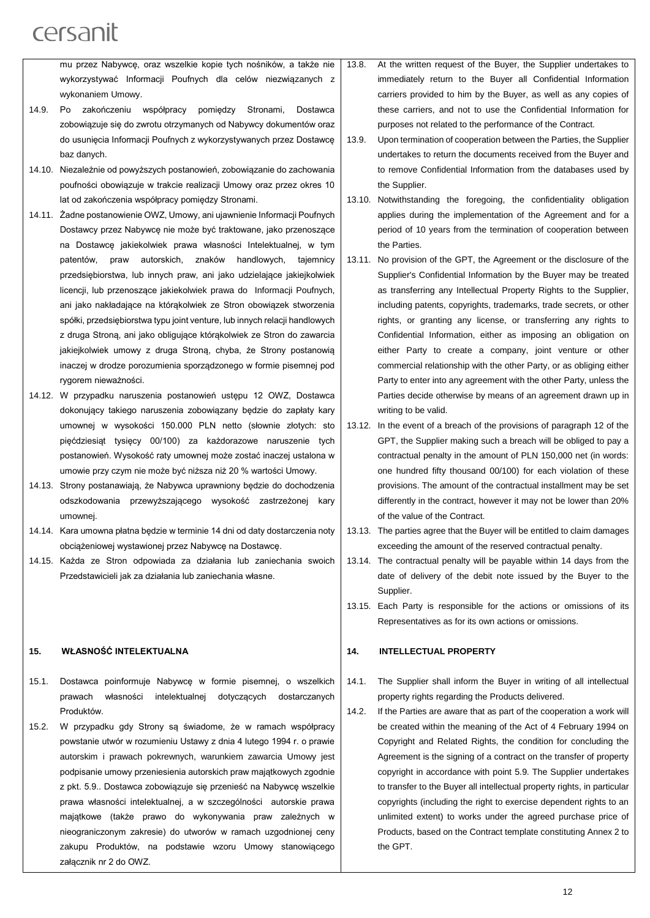mu przez Nabywcę, oraz wszelkie kopie tych nośników, a także nie wykorzystywać Informacji Poufnych dla celów niezwiązanych z wykonaniem Umowy.

- 14.9. Po zakończeniu współpracy pomiędzy Stronami, Dostawca zobowiązuje się do zwrotu otrzymanych od Nabywcy dokumentów oraz do usunięcia Informacji Poufnych z wykorzystywanych przez Dostawcę baz danych.
- 14.10. Niezależnie od powyższych postanowień, zobowiązanie do zachowania poufności obowiązuje w trakcie realizacji Umowy oraz przez okres 10 lat od zakończenia współpracy pomiędzy Stronami.
- 14.11. Żadne postanowienie OWZ, Umowy, ani ujawnienie Informacji Poufnych Dostawcy przez Nabywcę nie może być traktowane, jako przenoszące na Dostawcę jakiekolwiek prawa własności Intelektualnej, w tym patentów, praw autorskich, znaków handlowych, tajemnicy przedsiębiorstwa, lub innych praw, ani jako udzielające jakiejkolwiek licencji, lub przenoszące jakiekolwiek prawa do Informacji Poufnych, ani jako nakładające na którąkolwiek ze Stron obowiązek stworzenia spółki, przedsiębiorstwa typu joint venture, lub innych relacji handlowych z druga Stroną, ani jako obligujące którąkolwiek ze Stron do zawarcia jakiejkolwiek umowy z druga Stroną, chyba, że Strony postanowią inaczej w drodze porozumienia sporządzonego w formie pisemnej pod rygorem nieważności.
- 14.12. W przypadku naruszenia postanowień ustępu 12 OWZ, Dostawca dokonujący takiego naruszenia zobowiązany będzie do zapłaty kary umownej w wysokości 150.000 PLN netto (słownie złotych: sto pięćdziesiąt tysięcy 00/100) za każdorazowe naruszenie tych postanowień. Wysokość raty umownej może zostać inaczej ustalona w umowie przy czym nie może być niższa niż 20 % wartości Umowy.
- 14.13. Strony postanawiają, że Nabywca uprawniony będzie do dochodzenia odszkodowania przewyższającego wysokość zastrzeżonej kary umownej.
- 14.14. Kara umowna płatna będzie w terminie 14 dni od daty dostarczenia noty obciążeniowej wystawionej przez Nabywcę na Dostawcę.
- 14.15. Każda ze Stron odpowiada za działania lub zaniechania swoich Przedstawicieli jak za działania lub zaniechania własne.

#### **15. WŁASNOŚĆ INTELEKTUALNA**

- 15.1. Dostawca poinformuje Nabywcę w formie pisemnej, o wszelkich prawach własności intelektualnej dotyczących dostarczanych Produktów.
- 15.2. W przypadku gdy Strony są świadome, że w ramach współpracy powstanie utwór w rozumieniu Ustawy z dnia 4 lutego 1994 r. o prawie autorskim i prawach pokrewnych, warunkiem zawarcia Umowy jest podpisanie umowy przeniesienia autorskich praw majątkowych zgodnie z pkt. 5.9.. Dostawca zobowiązuje się przenieść na Nabywcę wszelkie prawa własności intelektualnej, a w szczególności autorskie prawa majątkowe (także prawo do wykonywania praw zależnych w nieograniczonym zakresie) do utworów w ramach uzgodnionej ceny zakupu Produktów, na podstawie wzoru Umowy stanowiącego załącznik nr 2 do OWZ.
- 13.8. At the written request of the Buyer, the Supplier undertakes to immediately return to the Buyer all Confidential Information carriers provided to him by the Buyer, as well as any copies of these carriers, and not to use the Confidential Information for purposes not related to the performance of the Contract.
- 13.9. Upon termination of cooperation between the Parties, the Supplier undertakes to return the documents received from the Buyer and to remove Confidential Information from the databases used by the Supplier.
- 13.10. Notwithstanding the foregoing, the confidentiality obligation applies during the implementation of the Agreement and for a period of 10 years from the termination of cooperation between the Parties.
- 13.11. No provision of the GPT, the Agreement or the disclosure of the Supplier's Confidential Information by the Buyer may be treated as transferring any Intellectual Property Rights to the Supplier, including patents, copyrights, trademarks, trade secrets, or other rights, or granting any license, or transferring any rights to Confidential Information, either as imposing an obligation on either Party to create a company, joint venture or other commercial relationship with the other Party, or as obliging either Party to enter into any agreement with the other Party, unless the Parties decide otherwise by means of an agreement drawn up in writing to be valid.
- 13.12. In the event of a breach of the provisions of paragraph 12 of the GPT, the Supplier making such a breach will be obliged to pay a contractual penalty in the amount of PLN 150,000 net (in words: one hundred fifty thousand 00/100) for each violation of these provisions. The amount of the contractual installment may be set differently in the contract, however it may not be lower than 20% of the value of the Contract.
- 13.13. The parties agree that the Buyer will be entitled to claim damages exceeding the amount of the reserved contractual penalty.
- 13.14. The contractual penalty will be payable within 14 days from the date of delivery of the debit note issued by the Buyer to the Supplier.
- 13.15. Each Party is responsible for the actions or omissions of its Representatives as for its own actions or omissions.

#### **14. INTELLECTUAL PROPERTY**

- 14.1. The Supplier shall inform the Buyer in writing of all intellectual property rights regarding the Products delivered.
- 14.2. If the Parties are aware that as part of the cooperation a work will be created within the meaning of the Act of 4 February 1994 on Copyright and Related Rights, the condition for concluding the Agreement is the signing of a contract on the transfer of property copyright in accordance with point 5.9. The Supplier undertakes to transfer to the Buyer all intellectual property rights, in particular copyrights (including the right to exercise dependent rights to an unlimited extent) to works under the agreed purchase price of Products, based on the Contract template constituting Annex 2 to the GPT.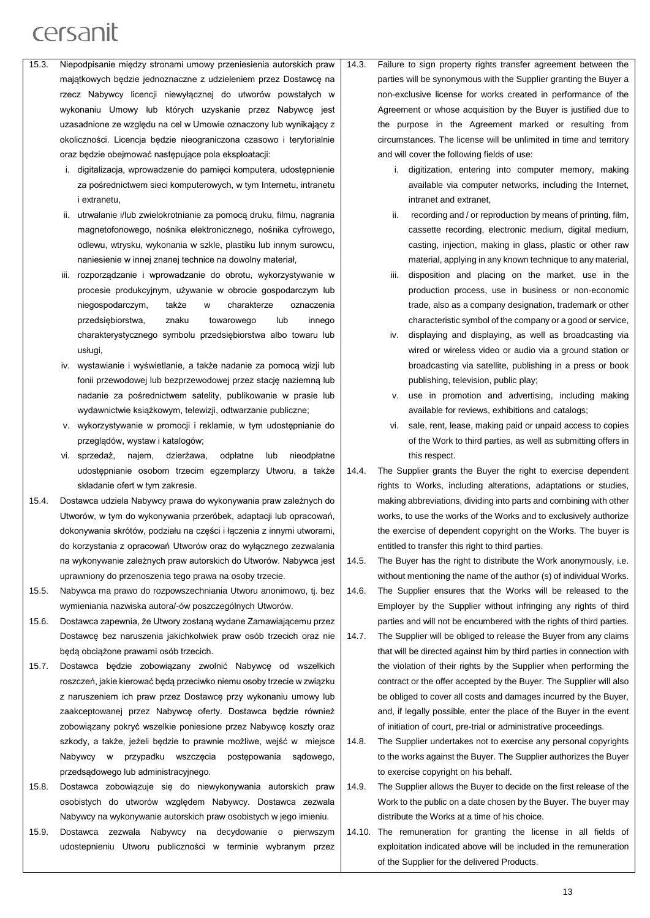- 15.3. Niepodpisanie między stronami umowy przeniesienia autorskich praw majątkowych będzie jednoznaczne z udzieleniem przez Dostawcę na rzecz Nabywcy licencji niewyłącznej do utworów powstałych w wykonaniu Umowy lub których uzyskanie przez Nabywcę jest uzasadnione ze względu na cel w Umowie oznaczony lub wynikający z okoliczności. Licencja będzie nieograniczona czasowo i terytorialnie oraz będzie obejmować następujące pola eksploatacji:
	- i. digitalizacja, wprowadzenie do pamięci komputera, udostępnienie za pośrednictwem sieci komputerowych, w tym Internetu, intranetu i extranetu,
	- ii. utrwalanie i/lub zwielokrotnianie za pomocą druku, filmu, nagrania magnetofonowego, nośnika elektronicznego, nośnika cyfrowego, odlewu, wtrysku, wykonania w szkle, plastiku lub innym surowcu, naniesienie w innej znanej technice na dowolny materiał,
	- iii. rozporządzanie i wprowadzanie do obrotu, wykorzystywanie w procesie produkcyjnym, używanie w obrocie gospodarczym lub niegospodarczym, także w charakterze oznaczenia przedsiębiorstwa, znaku towarowego lub innego charakterystycznego symbolu przedsiębiorstwa albo towaru lub usługi,
	- iv. wystawianie i wyświetlanie, a także nadanie za pomocą wizji lub fonii przewodowej lub bezprzewodowej przez stację naziemną lub nadanie za pośrednictwem satelity, publikowanie w prasie lub wydawnictwie książkowym, telewizji, odtwarzanie publiczne;
	- v. wykorzystywanie w promocji i reklamie, w tym udostępnianie do przeglądów, wystaw i katalogów;
	- vi. sprzedaż, najem, dzierżawa, odpłatne lub nieodpłatne udostępnianie osobom trzecim egzemplarzy Utworu, a także składanie ofert w tym zakresie.
- 15.4. Dostawca udziela Nabywcy prawa do wykonywania praw zależnych do Utworów, w tym do wykonywania przeróbek, adaptacji lub opracowań, dokonywania skrótów, podziału na części i łączenia z innymi utworami, do korzystania z opracowań Utworów oraz do wyłącznego zezwalania na wykonywanie zależnych praw autorskich do Utworów. Nabywca jest uprawniony do przenoszenia tego prawa na osoby trzecie.
- 15.5. Nabywca ma prawo do rozpowszechniania Utworu anonimowo, tj. bez wymieniania nazwiska autora/-ów poszczególnych Utworów.
- 15.6. Dostawca zapewnia, że Utwory zostaną wydane Zamawiającemu przez Dostawcę bez naruszenia jakichkolwiek praw osób trzecich oraz nie będą obciążone prawami osób trzecich.
- 15.7. Dostawca będzie zobowiązany zwolnić Nabywcę od wszelkich roszczeń, jakie kierować będą przeciwko niemu osoby trzecie w związku z naruszeniem ich praw przez Dostawcę przy wykonaniu umowy lub zaakceptowanej przez Nabywcę oferty. Dostawca będzie również zobowiązany pokryć wszelkie poniesione przez Nabywcę koszty oraz szkody, a także, jeżeli będzie to prawnie możliwe, wejść w miejsce Nabywcy w przypadku wszczęcia postępowania sądowego, przedsądowego lub administracyjnego.
- 15.8. Dostawca zobowiązuje się do niewykonywania autorskich praw osobistych do utworów względem Nabywcy. Dostawca zezwala Nabywcy na wykonywanie autorskich praw osobistych w jego imieniu.
- 15.9. Dostawca zezwala Nabywcy na decydowanie o pierwszym udostepnieniu Utworu publiczności w terminie wybranym przez
- 14.3. Failure to sign property rights transfer agreement between the parties will be synonymous with the Supplier granting the Buyer a non-exclusive license for works created in performance of the Agreement or whose acquisition by the Buyer is justified due to the purpose in the Agreement marked or resulting from circumstances. The license will be unlimited in time and territory and will cover the following fields of use:
	- i. digitization, entering into computer memory, making available via computer networks, including the Internet, intranet and extranet,
	- ii. recording and / or reproduction by means of printing, film, cassette recording, electronic medium, digital medium, casting, injection, making in glass, plastic or other raw material, applying in any known technique to any material,
	- iii. disposition and placing on the market, use in the production process, use in business or non-economic trade, also as a company designation, trademark or other characteristic symbol of the company or a good or service,
	- iv. displaying and displaying, as well as broadcasting via wired or wireless video or audio via a ground station or broadcasting via satellite, publishing in a press or book publishing, television, public play;
	- v. use in promotion and advertising, including making available for reviews, exhibitions and catalogs;
	- vi. sale, rent, lease, making paid or unpaid access to copies of the Work to third parties, as well as submitting offers in this respect.
- 14.4. The Supplier grants the Buyer the right to exercise dependent rights to Works, including alterations, adaptations or studies, making abbreviations, dividing into parts and combining with other works, to use the works of the Works and to exclusively authorize the exercise of dependent copyright on the Works. The buyer is entitled to transfer this right to third parties.
- 14.5. The Buyer has the right to distribute the Work anonymously, i.e. without mentioning the name of the author (s) of individual Works.
- 14.6. The Supplier ensures that the Works will be released to the Employer by the Supplier without infringing any rights of third parties and will not be encumbered with the rights of third parties.
- 14.7. The Supplier will be obliged to release the Buyer from any claims that will be directed against him by third parties in connection with the violation of their rights by the Supplier when performing the contract or the offer accepted by the Buyer. The Supplier will also be obliged to cover all costs and damages incurred by the Buyer, and, if legally possible, enter the place of the Buyer in the event of initiation of court, pre-trial or administrative proceedings.
- 14.8. The Supplier undertakes not to exercise any personal copyrights to the works against the Buyer. The Supplier authorizes the Buyer to exercise copyright on his behalf.
- 14.9. The Supplier allows the Buyer to decide on the first release of the Work to the public on a date chosen by the Buyer. The buyer may distribute the Works at a time of his choice.
- 14.10. The remuneration for granting the license in all fields of exploitation indicated above will be included in the remuneration of the Supplier for the delivered Products.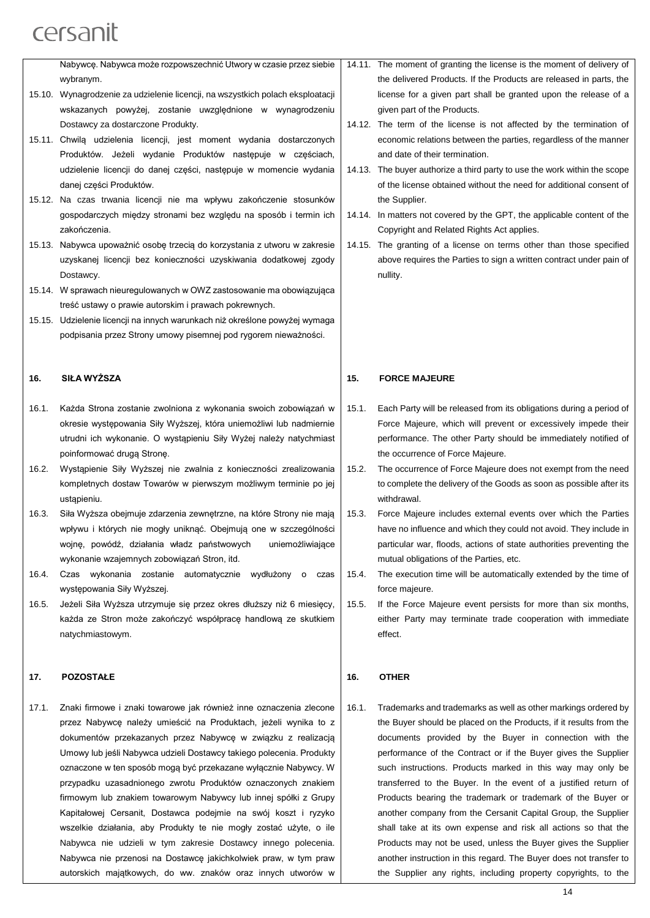|        | Nabywcę. Nabywca może rozpowszechnić Utwory w czasie przez siebie                                                                  | 14.7 |
|--------|------------------------------------------------------------------------------------------------------------------------------------|------|
|        | wybranym.                                                                                                                          |      |
|        | 15.10. Wynagrodzenie za udzielenie licencji, na wszystkich polach eksploatacji                                                     |      |
|        | wskazanych powyżej, zostanie uwzględnione w wynagrodzeniu                                                                          |      |
|        | Dostawcy za dostarczone Produkty.                                                                                                  | 14.7 |
|        | 15.11. Chwila udzielenia licencji, jest moment wydania dostarczonych<br>Produktów. Jeżeli wydanie Produktów następuje w częściach, |      |
|        |                                                                                                                                    |      |
|        | udzielenie licencji do danej części, następuje w momencie wydania<br>danej części Produktów.                                       | 14.7 |
|        |                                                                                                                                    |      |
|        | 15.12. Na czas trwania licencji nie ma wpływu zakończenie stosunków                                                                |      |
|        | gospodarczych między stronami bez względu na sposób i termin ich<br>zakończenia.                                                   | 14.7 |
|        | 15.13. Nabywca upoważnić osobę trzecią do korzystania z utworu w zakresie                                                          | 14.7 |
|        | uzyskanej licencji bez konieczności uzyskiwania dodatkowej zgody                                                                   |      |
|        | Dostawcy.                                                                                                                          |      |
|        | 15.14. W sprawach nieuregulowanych w OWZ zastosowanie ma obowiązująca                                                              |      |
|        | treść ustawy o prawie autorskim i prawach pokrewnych.                                                                              |      |
| 15.15. | Udzielenie licencji na innych warunkach niż określone powyżej wymaga                                                               |      |
|        | podpisania przez Strony umowy pisemnej pod rygorem nieważności.                                                                    |      |
|        |                                                                                                                                    |      |
| 16.    | SIŁA WYŻSZA                                                                                                                        | 15.  |
| 16.1.  | Każda Strona zostanie zwolniona z wykonania swoich zobowiązań w                                                                    | 15.7 |
|        | okresie występowania Siły Wyższej, która uniemożliwi lub nadmiernie                                                                |      |
|        | utrudni ich wykonanie. O wystąpieniu Siły Wyżej należy natychmiast                                                                 |      |
|        | poinformować drugą Stronę.                                                                                                         |      |
| 16.2.  | Wystąpienie Siły Wyższej nie zwalnia z konieczności zrealizowania                                                                  | 15.2 |
|        |                                                                                                                                    |      |
|        | kompletnych dostaw Towarów w pierwszym możliwym terminie po jej                                                                    |      |
|        | ustapieniu.                                                                                                                        |      |
| 16.3.  | Siła Wyższa obejmuje zdarzenia zewnętrzne, na które Strony nie mają                                                                | 15.3 |
|        | wpływu i których nie mogły uniknąć. Obejmują one w szczególności                                                                   |      |
|        | wojnę, powódź, działania władz państwowych<br>uniemożliwiające                                                                     |      |

16.4. Czas wykonania zostanie automatycznie wydłużony o czas występowania Siły Wyższej.

wykonanie wzajemnych zobowiązań Stron, itd.

16.5. Jeżeli Siła Wyższa utrzymuje się przez okres dłuższy niż 6 miesięcy, każda ze Stron może zakończyć współpracę handlową ze skutkiem natychmiastowym.

#### **17. POZOSTAŁE**

17.1. Znaki firmowe i znaki towarowe jak również inne oznaczenia zlecone przez Nabywcę należy umieścić na Produktach, jeżeli wynika to z dokumentów przekazanych przez Nabywcę w związku z realizacją Umowy lub jeśli Nabywca udzieli Dostawcy takiego polecenia. Produkty oznaczone w ten sposób mogą być przekazane wyłącznie Nabywcy. W przypadku uzasadnionego zwrotu Produktów oznaczonych znakiem firmowym lub znakiem towarowym Nabywcy lub innej spółki z Grupy Kapitałowej Cersanit, Dostawca podejmie na swój koszt i ryzyko wszelkie działania, aby Produkty te nie mogły zostać użyte, o ile Nabywca nie udzieli w tym zakresie Dostawcy innego polecenia. Nabywca nie przenosi na Dostawcę jakichkolwiek praw, w tym praw autorskich majątkowych, do ww. znaków oraz innych utworów w

- 11. The moment of granting the license is the moment of delivery of the delivered Products. If the Products are released in parts, the license for a given part shall be granted upon the release of a given part of the Products.
- 12. The term of the license is not affected by the termination of economic relations between the parties, regardless of the manner and date of their termination.
- 13. The buyer authorize a third party to use the work within the scope of the license obtained without the need for additional consent of the Supplier.
- 14. In matters not covered by the GPT, the applicable content of the Copyright and Related Rights Act applies.
- 15. The granting of a license on terms other than those specified above requires the Parties to sign a written contract under pain of nullity.

#### **15. FORCE MAJEURE**

- 1. Each Party will be released from its obligations during a period of Force Majeure, which will prevent or excessively impede their performance. The other Party should be immediately notified of the occurrence of Force Majeure.
- 2. The occurrence of Force Majeure does not exempt from the need to complete the delivery of the Goods as soon as possible after its withdrawal.
- 3. Force Majeure includes external events over which the Parties have no influence and which they could not avoid. They include in particular war, floods, actions of state authorities preventing the mutual obligations of the Parties, etc.
- 15.4. The execution time will be automatically extended by the time of force majeure.
- 15.5. If the Force Majeure event persists for more than six months, either Party may terminate trade cooperation with immediate effect.

#### **16. OTHER**

16.1. Trademarks and trademarks as well as other markings ordered by the Buyer should be placed on the Products, if it results from the documents provided by the Buyer in connection with the performance of the Contract or if the Buyer gives the Supplier such instructions. Products marked in this way may only be transferred to the Buyer. In the event of a justified return of Products bearing the trademark or trademark of the Buyer or another company from the Cersanit Capital Group, the Supplier shall take at its own expense and risk all actions so that the Products may not be used, unless the Buyer gives the Supplier another instruction in this regard. The Buyer does not transfer to the Supplier any rights, including property copyrights, to the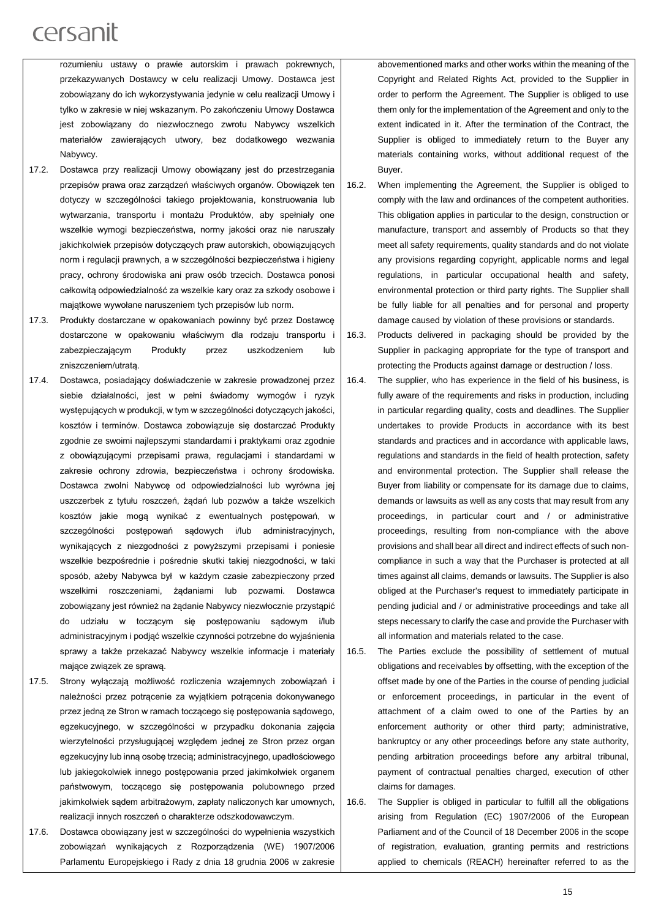rozumieniu ustawy o prawie autorskim i prawach pokrewnych, przekazywanych Dostawcy w celu realizacji Umowy. Dostawca jest zobowiązany do ich wykorzystywania jedynie w celu realizacji Umowy i tylko w zakresie w niej wskazanym. Po zakończeniu Umowy Dostawca jest zobowiązany do niezwłocznego zwrotu Nabywcy wszelkich materiałów zawierających utwory, bez dodatkowego wezwania Nabywcy.

- 17.2. Dostawca przy realizacji Umowy obowiązany jest do przestrzegania przepisów prawa oraz zarządzeń właściwych organów. Obowiązek ten dotyczy w szczególności takiego projektowania, konstruowania lub wytwarzania, transportu i montażu Produktów, aby spełniały one wszelkie wymogi bezpieczeństwa, normy jakości oraz nie naruszały jakichkolwiek przepisów dotyczących praw autorskich, obowiązujących norm i regulacji prawnych, a w szczególności bezpieczeństwa i higieny pracy, ochrony środowiska ani praw osób trzecich. Dostawca ponosi całkowitą odpowiedzialność za wszelkie kary oraz za szkody osobowe i majątkowe wywołane naruszeniem tych przepisów lub norm.
- 17.3. Produkty dostarczane w opakowaniach powinny być przez Dostawcę dostarczone w opakowaniu właściwym dla rodzaju transportu i zabezpieczającym Produkty przez uszkodzeniem lub zniszczeniem/utratą.
- 17.4. Dostawca, posiadający doświadczenie w zakresie prowadzonej przez siebie działalności, jest w pełni świadomy wymogów i ryzyk występujących w produkcji, w tym w szczególności dotyczących jakości, kosztów i terminów. Dostawca zobowiązuje się dostarczać Produkty zgodnie ze swoimi najlepszymi standardami i praktykami oraz zgodnie z obowiązującymi przepisami prawa, regulacjami i standardami w zakresie ochrony zdrowia, bezpieczeństwa i ochrony środowiska. Dostawca zwolni Nabywcę od odpowiedzialności lub wyrówna jej uszczerbek z tytułu roszczeń, żądań lub pozwów a także wszelkich kosztów jakie mogą wynikać z ewentualnych postępowań, w szczególności postępowań sądowych i/lub administracyjnych, wynikających z niezgodności z powyższymi przepisami i poniesie wszelkie bezpośrednie i pośrednie skutki takiej niezgodności, w taki sposób, ażeby Nabywca był w każdym czasie zabezpieczony przed wszelkimi roszczeniami, żądaniami lub pozwami. Dostawca zobowiązany jest również na żądanie Nabywcy niezwłocznie przystąpić do udziału w toczącym się postępowaniu sądowym i/lub administracyjnym i podjąć wszelkie czynności potrzebne do wyjaśnienia sprawy a także przekazać Nabywcy wszelkie informacje i materiały mające związek ze sprawą.
- 17.5. Strony wyłączają możliwość rozliczenia wzajemnych zobowiązań i należności przez potrącenie za wyjątkiem potrącenia dokonywanego przez jedną ze Stron w ramach toczącego się postępowania sądowego, egzekucyjnego, w szczególności w przypadku dokonania zajęcia wierzytelności przysługującej względem jednej ze Stron przez organ egzekucyjny lub inną osobę trzecią; administracyjnego, upadłościowego lub jakiegokolwiek innego postępowania przed jakimkolwiek organem państwowym, toczącego się postępowania polubownego przed jakimkolwiek sądem arbitrażowym, zapłaty naliczonych kar umownych, realizacji innych roszczeń o charakterze odszkodowawczym.
- 17.6. Dostawca obowiązany jest w szczególności do wypełnienia wszystkich zobowiązań wynikających z Rozporządzenia (WE) 1907/2006 Parlamentu Europejskiego i Rady z dnia 18 grudnia 2006 w zakresie

abovementioned marks and other works within the meaning of the Copyright and Related Rights Act, provided to the Supplier in order to perform the Agreement. The Supplier is obliged to use them only for the implementation of the Agreement and only to the extent indicated in it. After the termination of the Contract, the Supplier is obliged to immediately return to the Buyer any materials containing works, without additional request of the Buyer.

16.2. When implementing the Agreement, the Supplier is obliged to comply with the law and ordinances of the competent authorities. This obligation applies in particular to the design, construction or manufacture, transport and assembly of Products so that they meet all safety requirements, quality standards and do not violate any provisions regarding copyright, applicable norms and legal regulations, in particular occupational health and safety, environmental protection or third party rights. The Supplier shall be fully liable for all penalties and for personal and property damage caused by violation of these provisions or standards.

16.3. Products delivered in packaging should be provided by the Supplier in packaging appropriate for the type of transport and protecting the Products against damage or destruction / loss.

- 16.4. The supplier, who has experience in the field of his business, is fully aware of the requirements and risks in production, including in particular regarding quality, costs and deadlines. The Supplier undertakes to provide Products in accordance with its best standards and practices and in accordance with applicable laws, regulations and standards in the field of health protection, safety and environmental protection. The Supplier shall release the Buyer from liability or compensate for its damage due to claims, demands or lawsuits as well as any costs that may result from any proceedings, in particular court and / or administrative proceedings, resulting from non-compliance with the above provisions and shall bear all direct and indirect effects of such noncompliance in such a way that the Purchaser is protected at all times against all claims, demands or lawsuits. The Supplier is also obliged at the Purchaser's request to immediately participate in pending judicial and / or administrative proceedings and take all steps necessary to clarify the case and provide the Purchaser with all information and materials related to the case.
- 16.5. The Parties exclude the possibility of settlement of mutual obligations and receivables by offsetting, with the exception of the offset made by one of the Parties in the course of pending judicial or enforcement proceedings, in particular in the event of attachment of a claim owed to one of the Parties by an enforcement authority or other third party; administrative, bankruptcy or any other proceedings before any state authority, pending arbitration proceedings before any arbitral tribunal, payment of contractual penalties charged, execution of other claims for damages.
- 16.6. The Supplier is obliged in particular to fulfill all the obligations arising from Regulation (EC) 1907/2006 of the European Parliament and of the Council of 18 December 2006 in the scope of registration, evaluation, granting permits and restrictions applied to chemicals (REACH) hereinafter referred to as the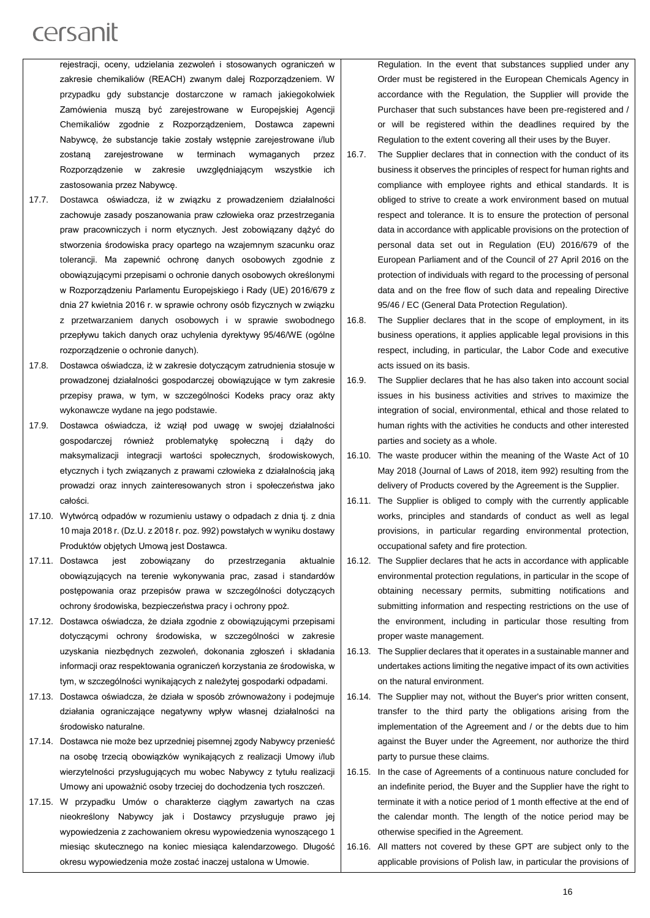rejestracji, oceny, udzielania zezwoleń i stosowanych ograniczeń w zakresie chemikaliów (REACH) zwanym dalej Rozporządzeniem. W przypadku gdy substancje dostarczone w ramach jakiegokolwiek Zamówienia muszą być zarejestrowane w Europejskiej Agencji Chemikaliów zgodnie z Rozporządzeniem, Dostawca zapewni Nabywcę, że substancje takie zostały wstępnie zarejestrowane i/lub zostaną zarejestrowane w terminach wymaganych przez Rozporządzenie w zakresie uwzględniającym wszystkie ich zastosowania przez Nabywcę.

- 17.7. Dostawca oświadcza, iż w związku z prowadzeniem działalności zachowuje zasady poszanowania praw człowieka oraz przestrzegania praw pracowniczych i norm etycznych. Jest zobowiązany dążyć do stworzenia środowiska pracy opartego na wzajemnym szacunku oraz tolerancji. Ma zapewnić ochronę danych osobowych zgodnie z obowiązującymi przepisami o ochronie danych osobowych określonymi w Rozporządzeniu Parlamentu Europejskiego i Rady (UE) 2016/679 z dnia 27 kwietnia 2016 r. w sprawie ochrony osób fizycznych w związku z przetwarzaniem danych osobowych i w sprawie swobodnego przepływu takich danych oraz uchylenia dyrektywy 95/46/WE (ogólne rozporządzenie o ochronie danych).
- 17.8. Dostawca oświadcza, iż w zakresie dotyczącym zatrudnienia stosuje w prowadzonej działalności gospodarczej obowiązujące w tym zakresie przepisy prawa, w tym, w szczególności Kodeks pracy oraz akty wykonawcze wydane na jego podstawie.
- 17.9. Dostawca oświadcza, iż wziął pod uwagę w swojej działalności gospodarczej również problematykę społeczną i dąży do maksymalizacji integracji wartości społecznych, środowiskowych, etycznych i tych związanych z prawami człowieka z działalnością jaką prowadzi oraz innych zainteresowanych stron i społeczeństwa jako całości.
- 17.10. Wytwórcą odpadów w rozumieniu ustawy o odpadach z dnia tj. z dnia 10 maja 2018 r. (Dz.U. z 2018 r. poz. 992) powstałych w wyniku dostawy Produktów objętych Umową jest Dostawca.
- 17.11. Dostawca jest zobowiązany do przestrzegania aktualnie obowiązujących na terenie wykonywania prac, zasad i standardów postępowania oraz przepisów prawa w szczególności dotyczących ochrony środowiska, bezpieczeństwa pracy i ochrony ppoż.
- 17.12. Dostawca oświadcza, że działa zgodnie z obowiązującymi przepisami dotyczącymi ochrony środowiska, w szczególności w zakresie uzyskania niezbędnych zezwoleń, dokonania zgłoszeń i składania informacji oraz respektowania ograniczeń korzystania ze środowiska, w tym, w szczególności wynikających z należytej gospodarki odpadami.
- 17.13. Dostawca oświadcza, że działa w sposób zrównoważony i podejmuje działania ograniczające negatywny wpływ własnej działalności na środowisko naturalne.
- 17.14. Dostawca nie może bez uprzedniej pisemnej zgody Nabywcy przenieść na osobę trzecią obowiązków wynikających z realizacji Umowy i/lub wierzytelności przysługujących mu wobec Nabywcy z tytułu realizacji Umowy ani upoważnić osoby trzeciej do dochodzenia tych roszczeń.
- 17.15. W przypadku Umów o charakterze ciągłym zawartych na czas nieokreślony Nabywcy jak i Dostawcy przysługuje prawo jej wypowiedzenia z zachowaniem okresu wypowiedzenia wynoszącego 1 miesiąc skutecznego na koniec miesiąca kalendarzowego. Długość okresu wypowiedzenia może zostać inaczej ustalona w Umowie.

Regulation. In the event that substances supplied under any Order must be registered in the European Chemicals Agency in accordance with the Regulation, the Supplier will provide the Purchaser that such substances have been pre-registered and / or will be registered within the deadlines required by the Regulation to the extent covering all their uses by the Buyer.

- 16.7. The Supplier declares that in connection with the conduct of its business it observes the principles of respect for human rights and compliance with employee rights and ethical standards. It is obliged to strive to create a work environment based on mutual respect and tolerance. It is to ensure the protection of personal data in accordance with applicable provisions on the protection of personal data set out in Regulation (EU) 2016/679 of the European Parliament and of the Council of 27 April 2016 on the protection of individuals with regard to the processing of personal data and on the free flow of such data and repealing Directive 95/46 / EC (General Data Protection Regulation).
- 16.8. The Supplier declares that in the scope of employment, in its business operations, it applies applicable legal provisions in this respect, including, in particular, the Labor Code and executive acts issued on its basis.
- 16.9. The Supplier declares that he has also taken into account social issues in his business activities and strives to maximize the integration of social, environmental, ethical and those related to human rights with the activities he conducts and other interested parties and society as a whole.
- 16.10. The waste producer within the meaning of the Waste Act of 10 May 2018 (Journal of Laws of 2018, item 992) resulting from the delivery of Products covered by the Agreement is the Supplier.
- 16.11. The Supplier is obliged to comply with the currently applicable works, principles and standards of conduct as well as legal provisions, in particular regarding environmental protection, occupational safety and fire protection.
- 16.12. The Supplier declares that he acts in accordance with applicable environmental protection regulations, in particular in the scope of obtaining necessary permits, submitting notifications and submitting information and respecting restrictions on the use of the environment, including in particular those resulting from proper waste management.
- 16.13. The Supplier declares that it operates in a sustainable manner and undertakes actions limiting the negative impact of its own activities on the natural environment.
- 16.14. The Supplier may not, without the Buyer's prior written consent, transfer to the third party the obligations arising from the implementation of the Agreement and / or the debts due to him against the Buyer under the Agreement, nor authorize the third party to pursue these claims.
- 16.15. In the case of Agreements of a continuous nature concluded for an indefinite period, the Buyer and the Supplier have the right to terminate it with a notice period of 1 month effective at the end of the calendar month. The length of the notice period may be otherwise specified in the Agreement.
- 16.16. All matters not covered by these GPT are subject only to the applicable provisions of Polish law, in particular the provisions of